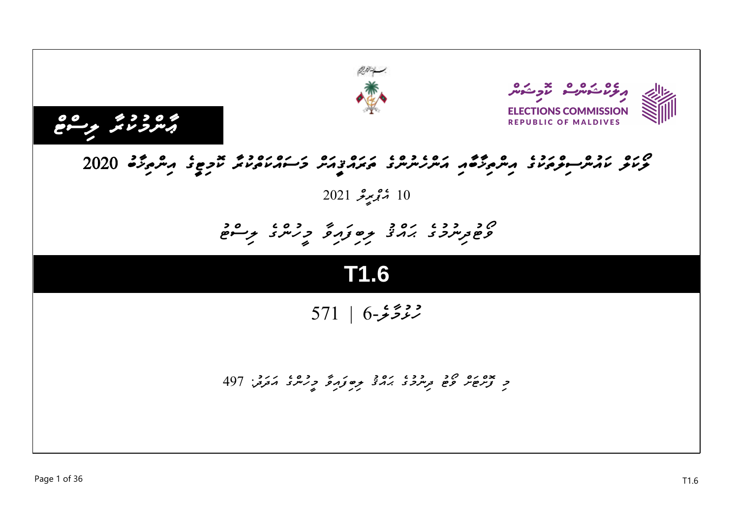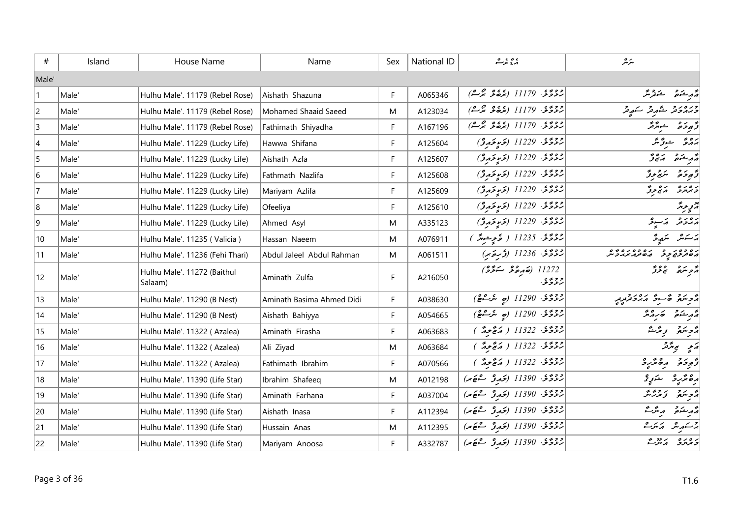| #              | Island | House Name                             | Name                      | Sex | National ID | ، ه ، بر <u>م</u>                                                                                                                                                                                                                                                   | ىئرىتر                       |
|----------------|--------|----------------------------------------|---------------------------|-----|-------------|---------------------------------------------------------------------------------------------------------------------------------------------------------------------------------------------------------------------------------------------------------------------|------------------------------|
| Male'          |        |                                        |                           |     |             |                                                                                                                                                                                                                                                                     |                              |
| $\vert$ 1      | Male'  | Hulhu Male'. 11179 (Rebel Rose)        | Aishath Shazuna           | F   | A065346     | 332. 11179 (برەبۇ برگ                                                                                                                                                                                                                                               | أقرم شكوم الشكور متكر        |
| $\overline{2}$ | Male'  | Hulhu Male'. 11179 (Rebel Rose)        | Mohamed Shaaid Saeed      | M   | A123034     | 222 كى 11179 (برگەمى مىرگ)                                                                                                                                                                                                                                          | ورەر دېم دېم سکھي تر         |
| $\vert$ 3      | Male'  | Hulhu Male'. 11179 (Rebel Rose)        | Fathimath Shiyadha        | F   | A167196     | 1179 . 11179 (برەبۇ برگ)                                                                                                                                                                                                                                            | أراموخام المسترقير           |
| $\overline{4}$ | Male'  | Hulhu Male'. 11229 (Lucky Life)        | Hawwa Shifana             | F   | A125604     | 33 كَمَرْدَ 11229 (مَرِ مَدِ وَكِنْ                                                                                                                                                                                                                                 | رە بە ھەرىگە<br>بەيرە ھەرىگە |
| $\overline{5}$ | Male'  | Hulhu Male'. 11229 (Lucky Life)        | Aishath Azfa              | F   | A125607     | $ 3.29 \rangle$ لادد 11229 (دىبوتەر                                                                                                                                                                                                                                 | ړ کر شکو ده دی               |
| 6              | Male'  | Hulhu Male'. 11229 (Lucky Life)        | Fathmath Nazlifa          | F   | A125608     | $(z_1, z_2, z_3)$ جازور 11229 (محدود)                                                                                                                                                                                                                               | أرموخاه التنافرو             |
| 7              | Male'  | Hulhu Male'. 11229 (Lucky Life)        | Mariyam Azlifa            | F   | A125609     | رْدْدَّةْ. 11229 (دَيْبِ دَرْدْ)                                                                                                                                                                                                                                    | ر ه ر ه<br>ړ ج ووً           |
| 8              | Male'  | Hulhu Male'. 11229 (Lucky Life)        | Ofeeliya                  | F   | A125610     | رْدْدَّةْ. 11229 (دَيْبِ دَرْقَ)                                                                                                                                                                                                                                    | پر <sub>و پور</sub> تز<br>مر |
| 9              | Male'  | Hulhu Male'. 11229 (Lucky Life)        | Ahmed Asyl                | M   | A335123     | رْدْدَّةْ. 11229 (دَيْبِ دَرْدْ)                                                                                                                                                                                                                                    | ړه رو ټرلند                  |
| 10             | Male'  | Hulhu Male'. 11235 (Valicia)           | Hassan Naeem              | M   | A076911     | 233 11235 ( قَرْمِسْيَمْ )                                                                                                                                                                                                                                          | ىر سەش سىمبەر                |
| 11             | Male'  | Hulhu Male'. 11236 (Fehi Thari)        | Abdul Jaleel Abdul Rahman | M   | A061511     | ار دې دي. 11236 (توسر تمبر)                                                                                                                                                                                                                                         | גם כסג כ גם כסגס בס          |
| 12             | Male'  | Hulhu Male'. 11272 (Baithul<br>Salaam) | Aminath Zulfa             | F   | A216050     | $(33 - 324)$ $11272$<br>و و و ء .<br>رند <del>و</del> نو                                                                                                                                                                                                            | ړګو شره ده دون               |
| 13             | Male'  | Hulhu Male'. 11290 (B Nest)            | Aminath Basima Ahmed Didi | F   | A038630     | $\begin{pmatrix} 2 & 3 & 3 \ 2 & 3 & 5 \end{pmatrix}$ / 11290                                                                                                                                                                                                       | ۇ ئەڭ ھەسىر ئەرە ئەر         |
| 14             | Male'  | Hulhu Male'. 11290 (B Nest)            | Aishath Bahiyya           | F   | A054665     | $\begin{pmatrix} 2 & 3 & 3 \ 2 & 3 & 5 \end{pmatrix}$ / 11290 كرمىسى                                                                                                                                                                                                | أقهر شدة الصرامة             |
| 15             | Male'  | Hulhu Male'. 11322 (Azalea)            | Aminath Firasha           | F   | A063683     | حِمْحَةَ 11322 ( مَتَّحْمَدٌ )                                                                                                                                                                                                                                      | وحرير ويرتث                  |
| 16             | Male'  | Hulhu Male'. 11322 (Azalea)            | Ali Ziyad                 | M   | A063684     | 333 / 11322 ( مَتَّ مِسَّرٌ )                                                                                                                                                                                                                                       | أوسمج وترفر                  |
| 17             | Male'  | Hulhu Male'. 11322 (Azalea)            | Fathimath Ibrahim         | F   | A070566     | رْ دْ دْ ئْ 11322 ( مَتَّ مِ مَّ                                                                                                                                                                                                                                    | أوجوحه وهتربرو               |
| 18             | Male'  | Hulhu Male'. 11390 (Life Star)         | Ibrahim Shafeeq           | M   | A012198     | $(z_1^2, z_2^2, z_3^2, z_4^3, z_5^3, z_6^3, z_7^3, z_7^3, z_7^3, z_7^3, z_7^3, z_7^3, z_7^3, z_7^3, z_7^3, z_7^3, z_7^3, z_7^3, z_7^3, z_7^3, z_7^3, z_7^3, z_7^3, z_7^3, z_7^3, z_7^3, z_7^3, z_7^3, z_7^3, z_7^3, z_7^3, z_7^3, z_7^3, z_7^3, z_7^3, z_7^3, z_7^$ | رە ئرىر ئىن ئۇ               |
| 19             | Male'  | Hulhu Male'. 11390 (Life Star)         | Aminath Farhana           | F   | A037004     | $(z_1^2, z_2^2, z_3^2, z_4^3, z_5^3, z_6^4, z_7^5, z_7^6, z_7^6, z_7^7, z_7^8, z_7^9, z_7^9, z_7^9, z_7^9, z_7^9, z_7^9, z_7^9, z_7^9, z_7^9, z_7^9, z_7^9, z_7^9, z_7^9, z_7^9, z_7^9, z_7^9, z_7^9, z_7^9, z_7^9, z_7^9, z_7^9, z_7^9, z_7^9, z_7^9, z_7^9, z_7^$ | أأروره وواثقه                |
| 20             | Male'  | Hulhu Male'. 11390 (Life Star)         | Aishath Inasa             | F   | A112394     | $\begin{bmatrix} 2 & 2 & 3 \ 3 & 4 & 5 \end{bmatrix}$ $(11390 - 33)$                                                                                                                                                                                                | ە ئەرىشكى ئەر ئىرگ           |
| 21             | Male'  | Hulhu Male'. 11390 (Life Star)         | Hussain Anas              | M   | A112395     | $\left( \frac{22}{3} \right)$ 11390 $\left( \frac{22}{3} \right)$                                                                                                                                                                                                   | يز ڪرير ڪريرڪ                |
| 22             | Male'  | Hulhu Male'. 11390 (Life Star)         | Mariyam Anoosa            | F   | A332787     | $(z_1^2, z_2^2, z_3^2, z_4^3, z_5^3, z_6^3, z_7^3, z_7^3, z_8^3, z_9^3, z_9^3, z_9^3, z_9^3, z_9^3, z_9^3, z_9^3, z_9^3, z_9^3, z_9^3, z_9^3, z_9^3, z_9^3, z_9^3, z_9^3, z_9^3, z_9^3, z_9^3, z_9^3, z_9^3, z_9^3, z_9^3, z_9^3, z_9^3, z_9^3, z_9^3, z_9^3, z_9^$ | גפגם גמבי                    |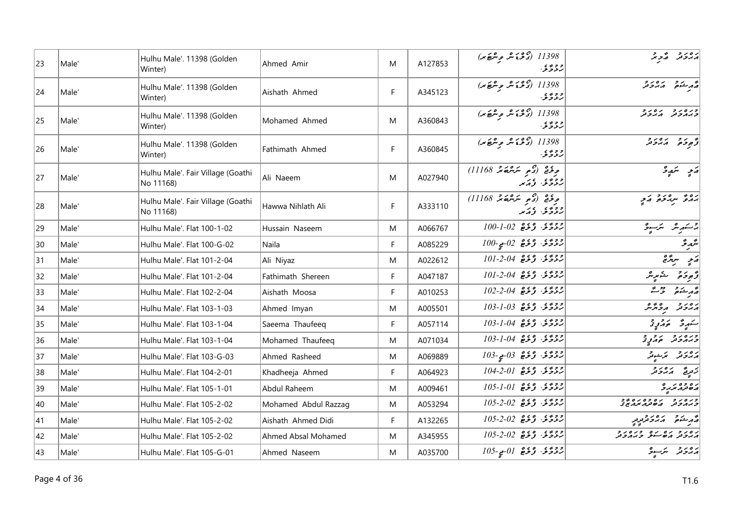| 23 | Male' | Hulhu Male'. 11398 (Golden<br>Winter)          | Ahmed Amir           | M           | A127853 | 11398 (دحوة مر موشقة مر)<br>و و و ي.<br>رندگرنگ                             | أرەر ئەدىر                                                          |
|----|-------|------------------------------------------------|----------------------|-------------|---------|-----------------------------------------------------------------------------|---------------------------------------------------------------------|
| 24 | Male' | Hulhu Male'. 11398 (Golden<br>Winter)          | Aishath Ahmed        | F.          | A345123 | 11398 (دُمْرُوْمَ مَّرْسَعِ مِنْ)<br>ر و و ی.<br>رند <del>و</del> گو        | وكرمشتم وكرور                                                       |
| 25 | Male' | Hulhu Male'. 11398 (Golden<br>Winter)          | Mohamed Ahmed        | M           | A360843 | 11398 (دعوءَ مثر موسطىم)<br>ر و و ء .<br>رند <del>و</del> تو .              | כנסנכ נסנכ<br>כגתכת הגבת                                            |
| 26 | Male' | Hulhu Male'. 11398 (Golden<br>Winter)          | Fathimath Ahmed      | F           | A360845 | 11398 (دْعْوَةَ مْرْ عِسْقَةِ مِدْ)<br>ر و و ء .<br>رندگرنگ                 | قرم ده ده ده د                                                      |
| 27 | Male' | Hulhu Male'. Fair Village (Goathi<br>No 11168) | Ali Naeem            | M           | A027940 | وقرق (دُو سَرْسُ 11168)<br>ووږي. ی د پر                                     | أرشح التمدير وهي                                                    |
| 28 | Male' | Hulhu Male'. Fair Village (Goathi<br>No 11168) | Hawwa Nihlath Ali    | $\mathsf F$ | A333110 | وقرقع (ومو سَرْسَقة 11168)<br>ووه و و د بر<br>رندونو . تو <del>ب</del> ر بر | بروء سيدخير وكمير                                                   |
| 29 | Male' | Hulhu Male'. Flat 100-1-02                     | Hussain Naseem       | M           | A066767 | $100 - 1 - 02$ $22 - 32$                                                    | ر<br>رئاس سرگرام<br>م                                               |
| 30 | Male' | Hulhu Male'. Flat 100-G-02                     | Naila                | F.          | A085229 | $100$ -يوگو. وگوھ 20-ي $-$ 100                                              | يت <sub>م</sub> رڙ                                                  |
| 31 | Male' | Hulhu Male'. Flat 101-2-04                     | Ali Niyaz            | M           | A022612 | $101 - 2 - 04$ $22 - 32$                                                    | $rac{1}{2}$                                                         |
| 32 | Male' | Hulhu Male'. Flat 101-2-04                     | Fathimath Shereen    | F.          | A047187 | $101 - 2 - 04$ $22 - 2$                                                     | ۇمۇمۇ شېرىر                                                         |
| 33 | Male' | Hulhu Male'. Flat 102-2-04                     | Aishath Moosa        | F.          | A010253 | $102 - 2 - 04$ $22 - 2$                                                     | وكرم شكوح المحر المحر                                               |
| 34 | Male' | Hulhu Male'. Flat 103-1-03                     | Ahmed Imyan          | M           | A005501 | $103 - 1 - 03$ $22$ $32$                                                    | גם גב הפית.<br>הגבת הכיתית                                          |
| 35 | Male' | Hulhu Male'. Flat 103-1-04                     | Saeema Thaufeeq      | F.          | A057114 | $103 - 1 - 04$ $223 - 532$                                                  | سەرچ مەرىپ                                                          |
| 36 | Male' | Hulhu Male'. Flat 103-1-04                     | Mohamed Thaufeeg     | M           | A071034 | $103 - 1 - 04$ $223 - 522$                                                  | כנסנכ נכנב<br>כגמכת המתנב                                           |
| 37 | Male' | Hulhu Male'. Flat 103-G-03                     | Ahmed Rasheed        | M           | A069889 | $103 - 03$ حِرْجَ حَ. $2$ $3$ حَمْدَ $2$                                    | ره رو کرد و<br>درگرفتر کرد و                                        |
| 38 | Male' | Hulhu Male'. Flat 104-2-01                     | Khadheeja Ahmed      | F.          | A064923 | $104 - 2 - 01$ $253 - 2$                                                    | أرَسِعٌ مَدَوَسٌ                                                    |
| 39 | Male' | Hulhu Male'. Flat 105-1-01                     | Abdul Raheem         | M           | A009461 | $105 - 1 - 01$ $22 - 22$                                                    | رە دە بر ۋ                                                          |
| 40 | Male' | Hulhu Male'. Flat 105-2-02                     | Mohamed Abdul Razzag | M           | A053294 | $105 - 2 - 02$ $22 - 22$                                                    | כנסנכ נסכסנסמכ<br><i>כג</i> וגכנ <sub>י ו</sub> מסנקו <i>ג גי</i> ש |
| 41 | Male' | Hulhu Male'. Flat 105-2-02                     | Aishath Ahmed Didi   | F.          | A132265 | $105 - 2 - 02$ $22 - 32$                                                    | أحمد شومى المركز وترمير المحمد                                      |
| 42 | Male' | Hulhu Male'. Flat 105-2-02                     | Ahmed Absal Mohamed  | M           | A345955 | $105 - 2 - 02$ وَقَرْحَ $2 - 2 - 1$                                         | ג סג כ-גם גם כגם גב<br>ג גבע, גם <del>ייע</del> בג גבע              |
| 43 | Male' | Hulhu Male'. Flat 105-G-01                     | Ahmed Naseem         | M           | A035700 | $105 - 01$ وَوَى $3.5$ - $5.5$                                              | برەرد سكرسوگر                                                       |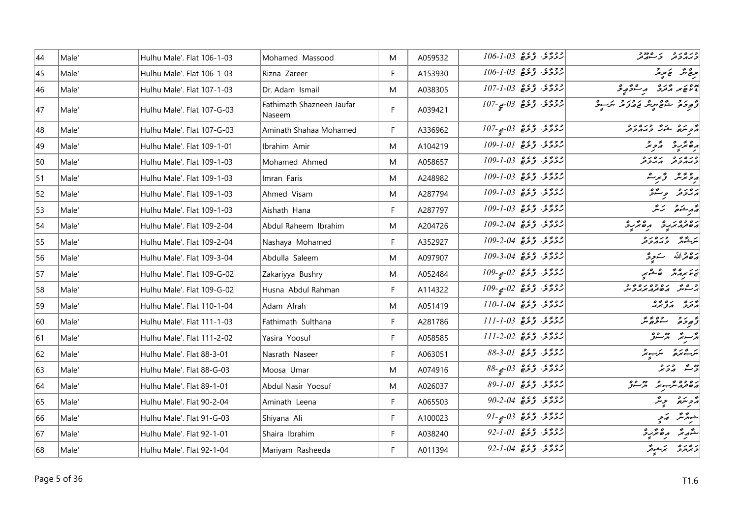| 44 | Male' | Hulhu Male'. Flat 106-1-03 | Mohamed Massood                     | M  | A059532 | $106 - 1 - 03$ $22 - 32$             | כנסנכ נסמכ<br><i>כג</i> ובט, כאשונ        |
|----|-------|----------------------------|-------------------------------------|----|---------|--------------------------------------|-------------------------------------------|
| 45 | Male' | Hulhu Male'. Flat 106-1-03 | Rizna Zareer                        | F  | A153930 | $106 - 1 - 03$ $22 - 32$             | برج مگر   کے بربر                         |
| 46 | Male' | Hulhu Male'. Flat 107-1-03 | Dr. Adam Ismail                     | M  | A038305 | $107 - 1 - 03$ $22 - 532$            |                                           |
| 47 | Male' | Hulhu Male'. Flat 107-G-03 | Fathimath Shazneen Jaufar<br>Naseem | F  | A039421 |                                      | تحويده الشهج سربكر المراد والمسرور        |
| 48 | Male' | Hulhu Male'. Flat 107-G-03 | Aminath Shahaa Mohamed              | F  | A336962 | $107 - 03$ وَوَى $25.$               | أثرج متركز وبره برد                       |
| 49 | Male' | Hulhu Male'. Flat 109-1-01 | Ibrahim Amir                        | M  | A104219 | $109 - 1 - 01$ وَوَصَعَ $10 - 1 - 1$ | رە ئۆر ئەرىر                              |
| 50 | Male' | Hulhu Male'. Flat 109-1-03 | Mohamed Ahmed                       | M  | A058657 | $109 - 1 - 03$ وَوَصَعْ $0.52$       | כנסנכ נסנכ<br>כ <i>ה</i> תכת הגכת         |
| 51 | Male' | Hulhu Male'. Flat 109-1-03 | Imran Faris                         | M  | A248982 | $109 - 1 - 03$ $22 - 32$             | ەر ئەترىش ئۇيرىش                          |
| 52 | Male' | Hulhu Male'. Flat 109-1-03 | Ahmed Visam                         | M  | A287794 | $109 - 1 - 03$ $22.$ $32$            | دەرو ھەشى                                 |
| 53 | Male' | Hulhu Male'. Flat 109-1-03 | Aishath Hana                        | F. | A287797 | $109 - 1 - 03$ $22 - 32$             | أقهر مشكور كالتكر                         |
| 54 | Male' | Hulhu Male'. Flat 109-2-04 | Abdul Raheem Ibrahim                | M  | A204726 | $109 - 2 - 04$ $22 - 22$             | גפנגיגים גפיציים                          |
| 55 | Male' | Hulhu Male'. Flat 109-2-04 | Nashaya Mohamed                     | F. | A352927 | $109 - 2 - 04$ وَوَصَع $-2$          | س شهر وره د و                             |
| 56 | Male' | Hulhu Male'. Flat 109-3-04 | Abdulla Saleem                      | M  | A097907 | $109 - 3 - 04$ $22 - 32$             | أرة فقرالله كسوفر                         |
| 57 | Male' | Hulhu Male'. Flat 109-G-02 | Zakariyya Bushry                    | M  | A052484 | $109$ -يوگو، وڏھ $-02$ -ي            | ى ئىرمەش ھەشىر                            |
| 58 | Male' | Hulhu Male'. Flat 109-G-02 | Husna Abdul Rahman                  | F  | A114322 | $109$ -يوگو، وڏه $9$ -يو $-109$      | و مره ده ده ده د و<br>بر کشش مان مهاجر مر |
| 59 | Male' | Hulhu Male'. Flat 110-1-04 | Adam Afrah                          | M  | A051419 | $110-1-04$ وَوَصَعَ $0.4$            | وره رووه                                  |
| 60 | Male' | Hulhu Male'. Flat 111-1-03 | Fathimath Sulthana                  | F  | A281786 | $111 - 1 - 03$ وَوَصَعْ $03 - 1$     | ق ده ده ده شو چې پنګر                     |
| 61 | Male' | Hulhu Male'. Flat 111-2-02 | Yasira Yoosuf                       | F  | A058585 | $111 - 2 - 02$ وَوَصَى 20-2-111      | اژ سه پژه ده د وه<br>پر                   |
| 62 | Male' | Hulhu Male'. Flat 88-3-01  | Nasrath Naseer                      | F  | A063051 | $88 - 3 - 01$ $22$ $32$              | يرجونه حريبونر                            |
| 63 | Male' | Hulhu Male'. Flat 88-G-03  | Moosa Umar                          | M  | A074916 | $88$ - جَرْدَ حَرْجَ $93$ - جِ       | $7.77$ $2.7$                              |
| 64 | Male' | Hulhu Male'. Flat 89-1-01  | Abdul Nasir Yoosuf                  | M  | A026037 | $89 - 1 - 01$ $22 - 22$              | ره وه شهر و دو وه                         |
| 65 | Male' | Hulhu Male'. Flat 90-2-04  | Aminath Leena                       | F  | A065503 | $90 - 2 - 04$ $22 - 32$              | أزمر سنتمر ويتر                           |
| 66 | Male' | Hulhu Male'. Flat 91-G-03  | Shiyana Ali                         | F. | A100023 | $91 - 03$ وَوَعْ $9 - 1$ مِي         | شورگر مگر کر کر                           |
| 67 | Male' | Hulhu Male'. Flat 92-1-01  | Shaira Ibrahim                      | F  | A038240 | $92 - 1 - 01$ $22 - 22$              | أشور مده مرسو                             |
| 68 | Male' | Hulhu Male'. Flat 92-1-04  | Mariyam Rasheeda                    | F  | A011394 | $92 - 1 - 04$ $22 - 32$              | د ۱۵ ده پر سونگر                          |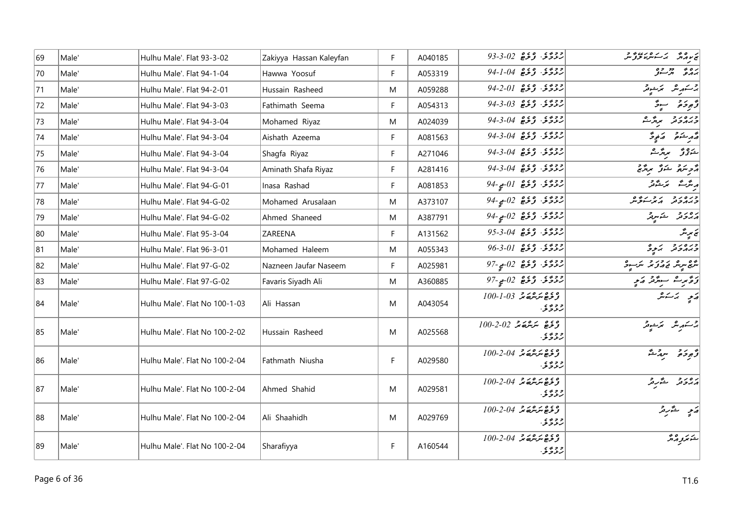| 69 | Male' | Hulhu Male'. Flat 93-3-02     | Zakiyya Hassan Kaleyfan | F | A040185 | $93 - 3 - 02$ $22$ $3 - 2$                                                                                                                                                                                                   | ى بورې پر سەھدىيە د                     |
|----|-------|-------------------------------|-------------------------|---|---------|------------------------------------------------------------------------------------------------------------------------------------------------------------------------------------------------------------------------------|-----------------------------------------|
| 70 | Male' | Hulhu Male', Flat 94-1-04     | Hawwa Yoosuf            | F | A053319 | $94 - 1 - 04$ $22$ $32$                                                                                                                                                                                                      | נים ידי בים<br>המפ"ח תי-                |
| 71 | Male' | Hulhu Male'. Flat 94-2-01     | Hussain Rasheed         | M | A059288 | $94 - 2 - 01$ $22 - 32$                                                                                                                                                                                                      | برسكور كرشوش                            |
| 72 | Male' | Hulhu Male'. Flat 94-3-03     | Fathimath Seema         | F | A054313 | $94 - 3 - 03$ $22$ $3 - 3 - 3$                                                                                                                                                                                               | توجوخوا سبوقر                           |
| 73 | Male' | Hulhu Male'. Flat 94-3-04     | Mohamed Riyaz           | M | A024039 | $94 - 3 - 04$ $22$ $3 - 3 - 1$                                                                                                                                                                                               | ورەرو برگرم                             |
| 74 | Male' | Hulhu Male'. Flat 94-3-04     | Aishath Azeema          | F | A081563 | $94 - 3 - 04$ $22$ $3 - 3 - 2$                                                                                                                                                                                               | و ديدة من دينجي.<br>مستوفي من المنصري   |
| 75 | Male' | Hulhu Male'. Flat 94-3-04     | Shagfa Riyaz            | F | A271046 | $94 - 3 - 04$ $22$ $3 - 3 - 1$                                                                                                                                                                                               | شۇقۇ بىرتىش                             |
| 76 | Male' | Hulhu Male'. Flat 94-3-04     | Aminath Shafa Riyaz     | F | A281416 | $94 - 3 - 04$ $22$ $3 - 3 - 1$                                                                                                                                                                                               | أأدو سكاة الشرقر المرارمج               |
| 77 | Male' | Hulhu Male'. Flat 94-G-01     | Inasa Rashad            | F | A081853 | $94$ - جونجو، وي هو $10$ - ج $-$ 94                                                                                                                                                                                          | پائرنگ - ایرانیکی تر                    |
| 78 | Male' | Hulhu Male'. Flat 94-G-02     | Mohamed Arusalaan       | M | A373107 | 32 كوند وتوقع 20-ي <sub>و</sub> -94 $\,$                                                                                                                                                                                     | ورەرو رورۇھ<br><i>وبەدونى مەركىت</i> ۇش |
| 79 | Male' | Hulhu Male'. Flat 94-G-02     | Ahmed Shaneed           | M | A387791 | 32 كوند وتوقع 20-ي <sub>و</sub> -94 $\,$                                                                                                                                                                                     | أبرود و متكسر ور                        |
| 80 | Male' | Hulhu Male'. Flat 95-3-04     | ZAREENA                 | F | A131562 | $95 - 3 - 04$ $22$ $3 - 3 - 2$                                                                                                                                                                                               | ئىمبەتىر                                |
| 81 | Male' | Hulhu Male'. Flat 96-3-01     | Mohamed Haleem          | M | A055343 | $96 - 3 - 01$ $22 - 32$                                                                                                                                                                                                      | ورەرو كوۋ                               |
| 82 | Male' | Hulhu Male'. Flat 97-G-02     | Nazneen Jaufar Naseem   | F | A025981 | 32 كوند ولار 12 - ميمبر 197 كيمبر 197 كيمبر 197 كيمبر 197 كيمبر 197 كيمبر 197 كيمبر 197 كيمبر 197 كيمبر 197 كيمبر 197 كيمبر 197 كيمبر 197 كيمبر 197 كيمبر 197 كيمبر 197 كيمبر 197 كيمبر 197 كيمبر 197 كيمبر 197 كيمبر 197 كي | ترچ سرپر <sub>محم</sub> ور پر ترجو      |
| 83 | Male' | Hulhu Male'. Flat 97-G-02     | Favaris Siyadh Ali      | M | A360885 | $97 - 02$ $22$ $32$                                                                                                                                                                                                          |                                         |
| 84 | Male' | Hulhu Male'. Flat No 100-1-03 | Ali Hassan              | M | A043054 | $100 - 1 - 03$<br>ج و بر ي.<br>رنگوري                                                                                                                                                                                        |                                         |
| 85 | Male' | Hulhu Male'. Flat No 100-2-02 | Hussain Rasheed         | M | A025568 | $100 - 2 - 02$ $222 - 202$<br>و و و ء .<br>رو <del>و</del> و.                                                                                                                                                                | 2سكىرىش ئىزىشوش                         |
| 86 | Male' | Hulhu Male'. Flat No 100-2-04 | Fathmath Niusha         | F | A029580 | $100 - 2 - 04$<br>و و و ء .<br>رند <del>و</del> نو                                                                                                                                                                           | أوالمجاورة والمستركسة                   |
| 87 | Male' | Hulhu Male'. Flat No 100-2-04 | Ahmed Shahid            | M | A029581 | $100 - 2 - 04$<br>و و و ء .<br>رند <del>و</del> و .                                                                                                                                                                          | رەرو شرقر                               |
| 88 | Male' | Hulhu Male'. Flat No 100-2-04 | Ali Shaahidh            | M | A029769 | $100 - 2 - 04$<br>ر و و ي.<br>رندگرنو                                                                                                                                                                                        | أوكمني متقرير                           |
| 89 | Male' | Hulhu Male'. Flat No 100-2-04 | Sharafiyya              | F | A160544 | $100 - 2 - 04$<br>و و و ء .<br>رو <del>و</del> و .                                                                                                                                                                           | شەئىر بورگە                             |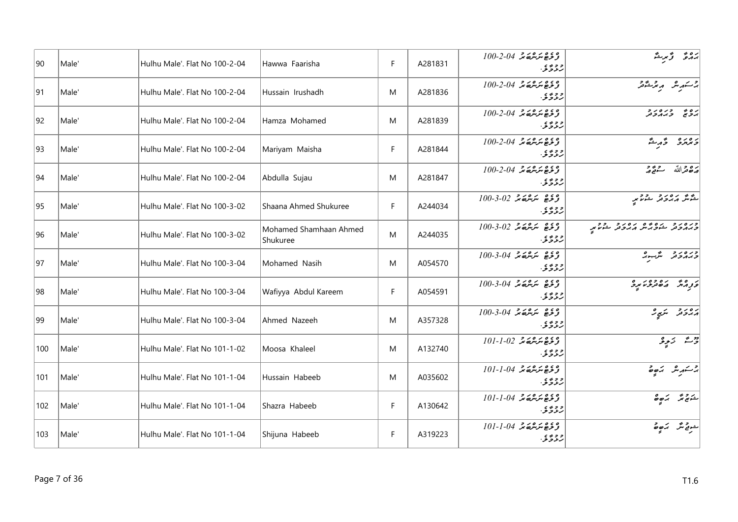| $ 90\rangle$ | Male' | Hulhu Male'. Flat No 100-2-04 | Hawwa Faarisha                     | F           | A281831 | $100 - 2 - 04$ $222 - 24$<br>و و و ء .<br>رند <del>و</del> نو | برە ئۇ ئورىش                                                                                                   |
|--------------|-------|-------------------------------|------------------------------------|-------------|---------|---------------------------------------------------------------|----------------------------------------------------------------------------------------------------------------|
| 91           | Male' | Hulhu Male'. Flat No 100-2-04 | Hussain Irushadh                   | M           | A281836 | و و محمد سر 2-04-2-201<br>ر و و ء .<br>رند <del>و</del> نو    | جر کے مرکز مرکز میں تھی تھی کہ اس کے میں تھی تھی کہ اس کا کہ اس کے میں تھی تھی کہ ان کے لیے جاتی تھی کہ ان کے  |
| 92           | Male' | Hulhu Male'. Flat No 100-2-04 | Hamza Mohamed                      | M           | A281839 | $100 - 2 - 04$ $222 - 204$<br>و و و ء .<br>رندگرنگ            | ره دره در<br>روی دربردند                                                                                       |
| 93           | Male' | Hulhu Male'. Flat No 100-2-04 | Mariyam Maisha                     | F           | A281844 | $100 - 2 - 04$ $222 - 204$<br>و و و ء .<br>رو و و .           | و ده ده و کم ک                                                                                                 |
| 94           | Male' | Hulhu Male'. Flat No 100-2-04 | Abdulla Sujau                      | M           | A281847 | $100 - 2 - 04$<br><u>رووي.</u>                                | برە قراللە ھەم د                                                                                               |
| 95           | Male' | Hulhu Male'. Flat No 100-3-02 | Shaana Ahmed Shukuree              | F           | A244034 | $100-3-02$ $222$ $222$<br>و و و ء .<br>رندگرين                | ے مگر مرکز کر کے مالی کے مالی کے ان کے مگر اس کے مگر اس کے مگر اس کے مگر اس کے مگر اس کے مگر اس کا کام کر اس ک |
| 96           | Male' | Hulhu Male'. Flat No 100-3-02 | Mohamed Shamhaan Ahmed<br>Shukuree | M           | A244035 | $100 - 3 - 02$ $222 - 202$<br>و و و ء .<br>رندگرنگ            | وره رو ده ده ده رورو دوو<br>وبرووتر څووبرس وبروتر څونړنې                                                       |
| 97           | Male' | Hulhu Male'. Flat No 100-3-04 | Mohamed Nasih                      | M           | A054570 | وء ۾ ش <i>هير 100-3-04</i><br>ج و بر ي.<br>رنگوري             | ورەرو شب                                                                                                       |
| 98           | Male' | Hulhu Male'. Flat No 100-3-04 | Wafiyya Abdul Kareem               | F           | A054591 | $100-3-04$ $222$ $22$<br><u>رووي.</u>                         | ر وه په پوه دور و                                                                                              |
| 99           | Male' | Hulhu Male'. Flat No 100-3-04 | Ahmed Nazeeh                       | M           | A357328 | $100-3-04$ $222$ $22$<br>و و و ء .<br>رند <del>و</del> نو     | ړ ور تر سرې                                                                                                    |
| 100          | Male' | Hulhu Male'. Flat No 101-1-02 | Moosa Khaleel                      | M           | A132740 | $101$ - $1$ - $02$ للمحمد $2$<br><u>رووي.</u>                 | لتر محمد المزموثة المحمد المحمد المحمد المحمد المحمد المحمد المحمد المحمد المحمد المحمد المحمد المحمد المحمد ا |
| 101          | Male' | Hulhu Male'. Flat No 101-1-04 | Hussain Habeeb                     | M           | A035602 | $101 - 1 - 04$<br><u>رووي.</u>                                | $\frac{2}{3}$                                                                                                  |
| 102          | Male' | Hulhu Male'. Flat No 101-1-04 | Shazra Habeeb                      | F           | A130642 | $101 - 1 - 04$ $222 - 82$<br>و و و ء .<br>رند <del>و</del> نو |                                                                                                                |
| 103          | Male' | Hulhu Male'. Flat No 101-1-04 | Shijuna Habeeb                     | $\mathsf F$ | A319223 | $101 - 1 - 04$ $222 - 82$<br>و و و ء .<br>رند <del>و</del> نو | أشوقے مگر كركون كا                                                                                             |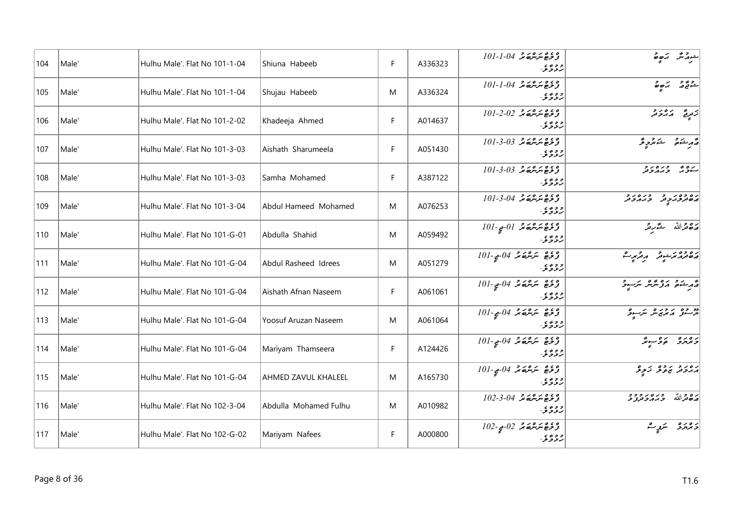| 104 | Male'     | Hulhu Male'. Flat No 101-1-04 | Shiuna Habeeb         | F  | A336323 | $101 - 1 - 04$<br>ر و و د ي.<br>رنگوري                                                       |                                         |
|-----|-----------|-------------------------------|-----------------------|----|---------|----------------------------------------------------------------------------------------------|-----------------------------------------|
| 105 | Male'     | Hulhu Male'. Flat No 101-1-04 | Shujau Habeeb         | M  | A336324 | $101 - 1 - 04$<br>و و و ء .<br>رند <del>و</del> نو                                           |                                         |
| 106 | Male'     | Hulhu Male'. Flat No 101-2-02 | Khadeeja Ahmed        | F. | A014637 | $101 - 2 - 02$ $222 - 202$<br>ر و و و .<br>رنگوری                                            | كزمريح كالكروار                         |
| 107 | $ $ Male' | Hulhu Male'. Flat No 101-3-03 | Aishath Sharumeela    | F  | A051430 | $101 - 3 - 03$<br>و و و ي.<br>رند و تو .                                                     | مەر ئىشمۇر ئىشكىرىدىگر                  |
| 108 | Male'     | Hulhu Male'. Flat No 101-3-03 | Samha Mohamed         | F  | A387122 | $101 - 3 - 03$<br>و و و ء .<br>رند <del>و</del> نو                                           | ره دره در                               |
| 109 | $ $ Male' | Hulhu Male'. Flat No 101-3-04 | Abdul Hameed Mohamed  | Μ  | A076253 | $101 - 3 - 04$<br><u>رووي.</u>                                                               | ره وه رحد وره رو<br>مصر وبروتر وبرمروتر |
| 110 | Male'     | Hulhu Male'. Flat No 101-G-01 | Abdulla Shahid        | M  | A059492 | $101$ -بِي- $01$ -بِي- $101$<br>و و و ي.<br>رنگونو .                                         | رەقمەللە شەرىر                          |
| 111 | Male'     | Hulhu Male'. Flat No 101-G-04 | Abdul Rasheed Idrees  | M  | A051279 | $101 - 04 - 04$<br>ج و بر ي.<br>رنگوري                                                       | ره وه مرجون مقرم ده                     |
| 112 | $ $ Male' | Hulhu Male'. Flat No 101-G-04 | Aishath Afnan Naseem  | F. | A061061 | $101$ -بِ $-04$ -بِ $-101$<br>ر و و و .<br>رند <del>و</del> و .                              | ۇرىئە رەئۇر سەر                         |
| 113 | Male'     | Hulhu Male'. Flat No 101-G-04 | Yoosuf Aruzan Naseem  | M  | A061064 | $101$ وَ دَوْعِ سَرْسَرَة $64$ -وِ $-101$<br>و و و ي.<br>رنونونو .                           | מ כם גבלם ה <sub>בת</sub> ם             |
| 114 | Male'     | Hulhu Male'. Flat No 101-G-04 | Mariyam Thamseera     | F  | A124426 | $101 - 04$ مَرْسَعَة مِرْ $-101$<br>ر و و و .<br>رند <del>و</del> و .                        | رەرە رەب                                |
| 115 | Male'     | Hulhu Male'. Flat No 101-G-04 | AHMED ZAVUL KHALEEL   | Μ  | A165730 | $101$ - مِنْ 10 - مِنْ 10 - مِنْ 10 - مِنْ 10 - مِنْ $\frac{1}{2}$<br>و و و ي.<br>رند و تو . | رەرە رەە زىرو                           |
| 116 | Male'     | Hulhu Male'. Flat No 102-3-04 | Abdulla Mohamed Fulhu | M  | A010982 | $102 - 3 - 04$<br>ر و و و .<br>رنگوری                                                        | ره والله وره رووو                       |
| 117 | $ $ Male' | Hulhu Male'. Flat No 102-G-02 | Mariyam Nafees        | F. | A000800 | و و م مرمر م حد 02-م -102<br>ر و و و .<br>رند <del>و</del> و .                               | دەرە سَرِيْ                             |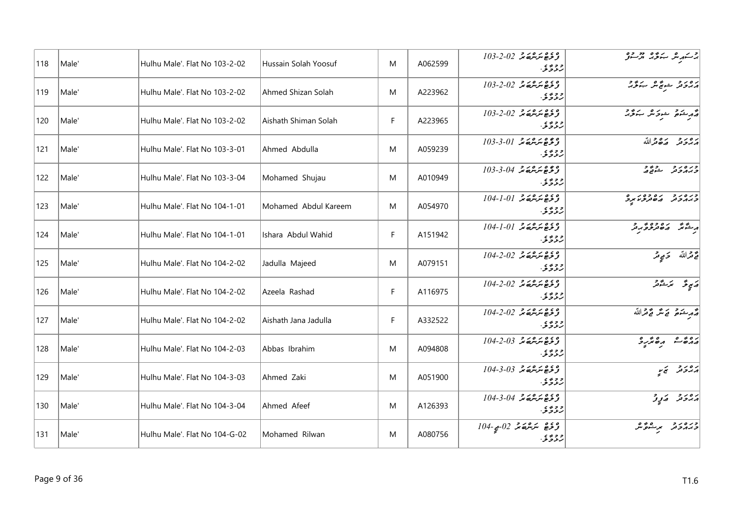| 118 | Male'     | Hulhu Male'. Flat No 103-2-02 | Hussain Solah Yoosuf | M           | A062599 | $103 - 2 - 02$ $222 - 202$<br>و و و ء .<br>رند <del>و</del> نو         | ا <sup>و</sup> سُورِ شرکت میں دو وہ<br> پرسورِ شرکت مرسور |
|-----|-----------|-------------------------------|----------------------|-------------|---------|------------------------------------------------------------------------|-----------------------------------------------------------|
| 119 | $ $ Male' | Hulhu Male'. Flat No 103-2-02 | Ahmed Shizan Solah   | M           | A223962 | $103 - 2 - 02$ وَقَوْمَ سِرْسِرِ مِنْ 202<br>333ع.<br>رنم <b>و</b> څو  | رەرد ھەتمىر بەدر                                          |
| 120 | Male'     | Hulhu Male'. Flat No 103-2-02 | Aishath Shiman Solah | F.          | A223965 | $103 - 2 - 02$ $222 - 82$<br>333ع.<br>رنم <b>و</b> څو                  | أقهر شدة الشوق للراقص                                     |
| 121 | Male'     | Hulhu Male'. Flat No 103-3-01 | Ahmed Abdulla        | M           | A059239 | $103 - 3 - 01$ $222 - 29$<br>و و و ي.<br>رنگوري                        | برەرو برە قراللە                                          |
| 122 | Male'     | Hulhu Male'. Flat No 103-3-04 | Mohamed Shujau       | M           | A010949 | $103 - 3 - 04$ $222 - 29$<br>ر و و د ي.<br>رنگوري                      | وره رو دورو<br><i>و بر دو</i> تر شو <sub>قع ه</sub>       |
| 123 | Male'     | Hulhu Male'. Flat No 104-1-01 | Mohamed Abdul Kareem | M           | A054970 | $104 - 1 - 01$<br>333ع.<br>رنم <b>و</b> څو                             | כנסני נסיפטנים<br>קמתכנו הסנקלטיקל                        |
| 124 | Male'     | Hulhu Male'. Flat No 104-1-01 | Ishara Abdul Wahid   | $\mathsf F$ | A151942 | $104 - 1 - 01$<br>و و و ي.<br>رنگوري                                   | دريموس دە دەم د                                           |
| 125 | Male'     | Hulhu Male'. Flat No 104-2-02 | Jadulla Majeed       | M           | A079151 | $104 - 2 - 02$ $222 - 202$<br>و و و ي.<br>رنگوري                       | قَوْقَرَاللّه وَمِحْرَ                                    |
| 126 | Male'     | Hulhu Male'. Flat No 104-2-02 | Azeela Rashad        | F.          | A116975 | $104 - 2 - 02$ $222 - 202$<br>ر و و د ي.<br>رنگوري                     | أَمَّامٍ قُمْ الْمَرْشُوْمُ                               |
| 127 | $ $ Male' | Hulhu Male'. Flat No 104-2-02 | Aishath Jana Jadulla | F           | A332522 | $104 - 2 - 02$ $222 - 202$<br>و و و ي.<br>رنگوري                       | صَّمَّ مِشْعَمَى ۖ فَى مَحَّرَ اللَّهُ ۖ وَلَا اللَّهُ    |
| 128 | Male'     | Hulhu Male'. Flat No 104-2-03 | Abbas Ibrahim        | M           | A094808 | $104 - 2 - 03$<br>و و و ء .<br>رنو <del>و</del> و                      | 250/<br>ە ھەترىر ۋ                                        |
| 129 | Male'     | Hulhu Male'. Flat No 104-3-03 | Ahmed Zaki           | M           | A051900 | $104 - 3 - 03$ $3.9$ $2.9$ $3.9$<br>ر و و و .<br>رنگوری                | پروژو پخ پړ                                               |
| 130 | $ $ Male' | Hulhu Male'. Flat No 104-3-04 | Ahmed Afeef          | M           | A126393 | $104 - 3 - 04$ $222 - 82$<br>ر و و و .<br>رنگوری                       | גפלב בצב                                                  |
| 131 | Male'     | Hulhu Male'. Flat No 104-G-02 | Mohamed Rilwan       | M           | A080756 | وْ دْ ھَ سَرْ سْمَعَةْ 102-ي -104<br>ر و و و .<br>رند <del>و</del> و . | ورەرو برخوش                                               |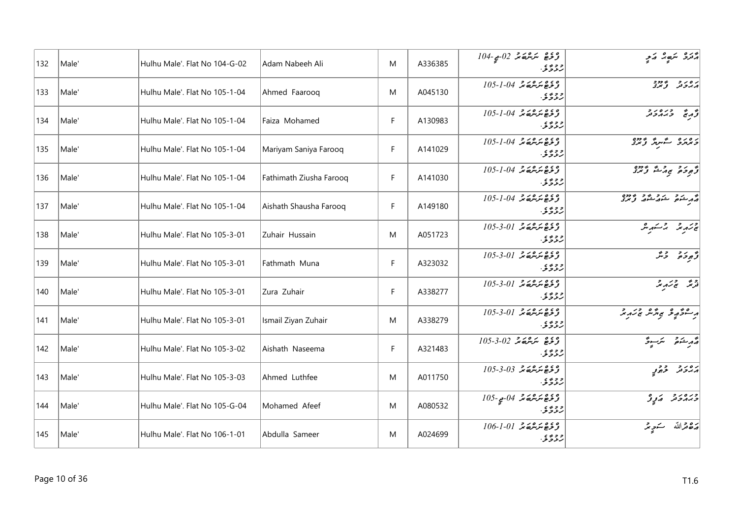| 132 | Male' | Hulhu Male'. Flat No 104-G-02 | Adam Nabeeh Ali         | M           | A336385 | $104 - 02$ $22 - 02$ $259$<br>و و و ي.<br>رنونوگو             | גצל יצפי ג׳בְ                             |
|-----|-------|-------------------------------|-------------------------|-------------|---------|---------------------------------------------------------------|-------------------------------------------|
| 133 | Male' | Hulhu Male'. Flat No 105-1-04 | Ahmed Faarooq           | M           | A045130 | $105 - 1 - 04$<br>ر و و ء .<br>رند <del>و</del> نو            | رەر دې دود.<br>مەركى كەندى                |
| 134 | Male' | Hulhu Male'. Flat No 105-1-04 | Faiza Mohamed           | F           | A130983 | $105 - 1 - 04$ $222 - 25$<br><u>رووي.</u>                     | و رە ر د<br>تر پر تر تر<br>ا تۇ مەيخ      |
| 135 | Male' | Hulhu Male'. Flat No 105-1-04 | Mariyam Saniya Farooq   | F           | A141029 | $105 - 1 - 04$<br>و و و ء .<br>رند <del>و</del> نو            | رەرە شىر ئەددە                            |
| 136 | Male' | Hulhu Male'. Flat No 105-1-04 | Fathimath Ziusha Farooq | $\mathsf F$ | A141030 | $105 - 1 - 04$ $222 - 25$<br>ر و و ء .<br>رند <del>و</del> نو | توجوحه بمارشة توجره                       |
| 137 | Male' | Hulhu Male'. Flat No 105-1-04 | Aishath Shausha Farooq  | F.          | A149180 | $105 - 1 - 04$<br><u>رووي.</u>                                | ه رخوم خور شود و دوه<br>درخوم خورخور زیرد |
| 138 | Male' | Hulhu Male'. Flat No 105-3-01 | Zuhair Hussain          | M           | A051723 | $105 - 3 - 01$ $222 - 82$<br>و و و ء .<br>رند <del>و</del> نو | لمحترمر محر محمد سنر مر                   |
| 139 | Male' | Hulhu Male'. Flat No 105-3-01 | Fathmath Muna           | F           | A323032 | $105 - 3 - 01$<br><u>رووي.</u>                                | وٌ و دَ و شَ                              |
| 140 | Male' | Hulhu Male'. Flat No 105-3-01 | Zura Zuhair             | F           | A338277 | $105 - 3 - 01$<br><u>رووي.</u>                                | فرتمر تح ترم تر                           |
| 141 | Male' | Hulhu Male'. Flat No 105-3-01 | Ismail Ziyan Zuhair     | M           | A338279 | $105 - 3 - 01$<br>و و و ء .<br>رند <del>و</del> نو            | مر شۇنمو ئورگىرى ئەربر                    |
| 142 | Male' | Hulhu Male'. Flat No 105-3-02 | Aishath Naseema         | F           | A321483 | $105 - 3 - 02$ $222 - 202$<br><u>رووي.</u>                    | أقهر مشكاتهم التكرسون                     |
| 143 | Male' | Hulhu Male'. Flat No 105-3-03 | Ahmed Luthfee           | M           | A011750 | $105 - 3 - 03$ $222 - 25$<br>و و و ء .<br>رندگرنگ             | دەرو وو                                   |
| 144 | Male' | Hulhu Male'. Flat No 105-G-04 | Mohamed Afeef           | M           | A080532 | $105$ - و د م مره د حداب و -105<br>و و و ي.<br>رندگرنو .      | ورەر دۇرۇ                                 |
| 145 | Male' | Hulhu Male'. Flat No 106-1-01 | Abdulla Sameer          | M           | A024699 | $106 - 1 - 01$<br>و و و ء .<br>رندگرنگ                        | أرة قرالله كسوير                          |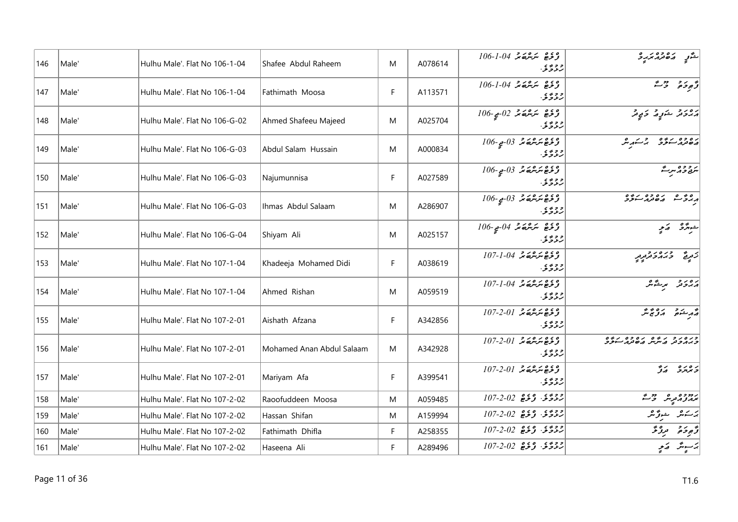| 146 | Male'     | Hulhu Male'. Flat No 106-1-04 | Shafee Abdul Raheem       | M           | A078614 | وءِ ۾ سرچي 106-1-206<br>و و و ء .<br>رند <del>و</del> نو                         | شو مەمدىر مەر                                           |
|-----|-----------|-------------------------------|---------------------------|-------------|---------|----------------------------------------------------------------------------------|---------------------------------------------------------|
| 147 | Male'     | Hulhu Male'. Flat No 106-1-04 | Fathimath Moosa           | F.          | A113571 | $106 - 1 - 04$ $222 - 22$<br>ر و و د ي.<br>رند <del>و</del> نو                   | ۇ بوزە ئەس                                              |
| 148 | Male'     | Hulhu Male'. Flat No 106-G-02 | Ahmed Shafeeu Majeed      | M           | A025704 | $106$ - وَكَرْمِ سَرْسَرَهُ مَنْ $22$ - وِ $-106$<br>و و و ي.<br>رندگر           | أروك والمسكر أوالمحافي فكالمحمد                         |
| 149 | Male'     | Hulhu Male'. Flat No 106-G-03 | Abdul Salam Hussain       | M           | A000834 | $106$ - مِنْ دَمِيمَ مِنْ $63$ - مِنْ - $96$<br>و و و ء .<br>رند <del>و</del> نو |                                                         |
| 150 | Male'     | Hulhu Male'. Flat No 106-G-03 | Najumunnisa               | F           | A027589 | $106$ -بِي-26 -بِي-206 $-106$<br>و و و ي.<br>رند <del>و</del> گو.                | ىئەن ئەرگە بىرىگ                                        |
| 151 | Male'     | Hulhu Male'. Flat No 106-G-03 | Ihmas Abdul Salaam        | M           | A286907 | $106$ -بِي- $03$ -بِي- $106$<br>و و و ي.<br>رنونونو .                            | ە بە دەدە دەە<br>مەركىس مەمەر                           |
| 152 | Male'     | Hulhu Male'. Flat No 106-G-04 | Shiyam Ali                | M           | A025157 | $106$ - وَ حَقَّ مَرْسَمَة مَرْ $64$ - فِي<br>ح و و ي.<br>رند و تو .             | المشورين وكالمح                                         |
| 153 | $ $ Male' | Hulhu Male'. Flat No 107-1-04 | Khadeeja Mohamed Didi     | $\mathsf F$ | A038619 | $107 - 1 - 04$ $222 - 22$<br>ر و و ء .<br>رند <del>و</del> تو .                  | ترىرى ئەرەر ئەرىرىر                                     |
| 154 | Male'     | Hulhu Male'. Flat No 107-1-04 | Ahmed Rishan              | M           | A059519 | $107 - 1 - 04$<br>و و و ء .<br>رنو بو تو .                                       | رەرد برېشى                                              |
| 155 | Male'     | Hulhu Male'. Flat No 107-2-01 | Aishath Afzana            | F           | A342856 | $107 - 2 - 01$ $222 - 82$<br>و و و ي.<br>رند و تو .                              | و دره ده در در در ش                                     |
| 156 | $ $ Male' | Hulhu Male'. Flat No 107-2-01 | Mohamed Anan Abdul Salaam | M           | A342928 | $107 - 2 - 01$<br>333ع.<br>رنم <b>و</b> څو                                       | در ہے دی بھی کرہ وہ گروہ<br>زبردگر ماس ماہ ماہ ماہ سکڑے |
| 157 | $ $ Male' | Hulhu Male'. Flat No 107-2-01 | Mariyam Afa               | F           | A399541 | $107 - 2 - 01$ وَوَحْمٍ سَرْسَرَهُ مِنْ<br>ر و و ء .<br>رند <del>و</del> تو .    | رەرە رۇ                                                 |
| 158 | Male'     | Hulhu Male'. Flat No 107-2-02 | Raoofuddeen Moosa         | M           | A059485 | $107 - 2 - 02$ وَوَصَعَ $02 - 2 - 107$                                           | پرووه پېڅر وحت                                          |
| 159 | Male'     | Hulhu Male'. Flat No 107-2-02 | Hassan Shifan             | M           | A159994 | $107 - 2 - 02$ $22 - 32$                                                         | ىز سەش سوۋىش                                            |
| 160 | Male'     | Hulhu Male'. Flat No 107-2-02 | Fathimath Dhifla          | F.          | A258355 | $107 - 2 - 02$ وَوَصَعَ $02 - 2 - 107$                                           | وٌمِ وَءٌ وَ وَوَ وَ                                    |
| 161 | $ $ Male' | Hulhu Male'. Flat No 107-2-02 | Haseena Ali               | F.          | A289496 | $107 - 2 - 02$ وَوَصَعَ $2 - 2 - 107$                                            | يزجيش الأموا                                            |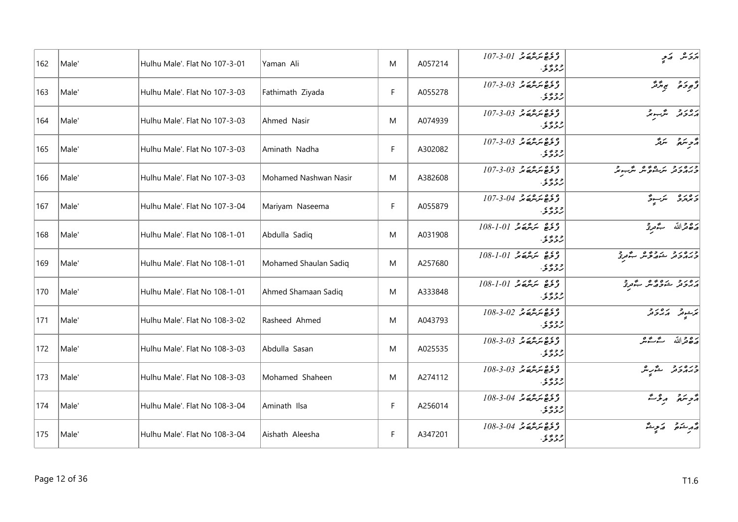| 162           | Male'     | Hulhu Male'. Flat No 107-3-01 | Yaman Ali             | M  | A057214 | $107 - 3 - 01$ $3.22 - 82$<br>و و و ء .<br>رند <del>و</del> نو | أتركر مدكمي                     |
|---------------|-----------|-------------------------------|-----------------------|----|---------|----------------------------------------------------------------|---------------------------------|
| 163           | Male'     | Hulhu Male'. Flat No 107-3-03 | Fathimath Ziyada      | F  | A055278 | $107 - 3 - 03$ $222 - 82$<br>و و و ء .<br>رند <del>و</del> نو  | تزود وتمر                       |
| 164           | Male'     | Hulhu Male'. Flat No 107-3-03 | Ahmed Nasir           | M  | A074939 | $107 - 3 - 03$ $222 - 82$<br>ر و و ء .<br>رند <del>و</del> و . | رەرد شەر                        |
| 165           | Male'     | Hulhu Male'. Flat No 107-3-03 | lAminath Nadha        | F. | A302082 | $107 - 3 - 03$ $222 - 82$<br>ر و و ء .<br>رند <del>و</del> و . | أأروسكم تكريم                   |
| 166           | Male'     | Hulhu Male'. Flat No 107-3-03 | Mohamed Nashwan Nasir | M  | A382608 | $107 - 3 - 03$ $222 - 82$<br>و و و ء .<br>رند <del>و</del> و . | ورەرو برەپەە شەر                |
| 167           | Male'     | Hulhu Male'. Flat No 107-3-04 | Mariyam Naseema       | F  | A055879 | $107 - 3 - 04$<br>و و و ء .<br>رند <del>و</del> نو .           | دەرە سەسىر                      |
| 168           | Male'     | Hulhu Male'. Flat No 108-1-01 | Abdulla Sadiq         | M  | A031908 | $108 - 1 - 01$ $222 - 22$<br>و و و ء .<br>رند <del>و</del> نو  | رە قراللە گەمرتى                |
| 169           | Male'     | Hulhu Male'. Flat No 108-1-01 | Mohamed Shaulan Sadiq | M  | A257680 | $108 - 1 - 01$ $222 - 22$<br>و و و ء .<br>رند <del>و</del> نو  | ورەر وەرەپە ئەرەپ بەيدۇ.        |
| 170           | $ $ Male' | Hulhu Male'. Flat No 108-1-01 | Ahmed Shamaan Sadiq   | M  | A333848 | $108 - 1 - 01$ $222 - 22$<br>و و و ي.<br>رندگرنگ               | رەر دەرە ھەر ئېرچ               |
| 171           | $ $ Male' | Hulhu Male'. Flat No 108-3-02 | Rasheed Ahmed         | M  | A043793 | $108 - 3 - 02$ $222 - 82$<br>و و و ء .<br>رند <del>و</del> نو  | برحوتر برور و<br>برحوتر بربروتر |
| $ 172\rangle$ | $ $ Male' | Hulhu Male'. Flat No 108-3-03 | Abdulla Sasan         | M  | A025535 | $108 - 3 - 03$ $2222$<br>ر و و ء .<br>رند <del>و</del> و .     | رە قراللە گەگەر                 |
| 173           | Male'     | Hulhu Male'. Flat No 108-3-03 | Mohamed Shaheen       | M  | A274112 | $108 - 3 - 03$ $2222 - 8$<br>و و و ء .<br>رند <del>و</del> نو  | ورەرو شەرش                      |
| 174           | Male'     | Hulhu Male'. Flat No 108-3-04 | Aminath Ilsa          | F. | A256014 | $108 - 3 - 04$ $2222$<br>و و و ء .<br>رند <del>و</del> نو      | أزويتم ويوع                     |
| 175           | $ $ Male' | Hulhu Male'. Flat No 108-3-04 | lAishath Aleesha      | F  | A347201 | $108 - 3 - 04$ $2222 - 82$<br>و و و ء .<br>رند <del>و</del> نو | أورشكم أوريث                    |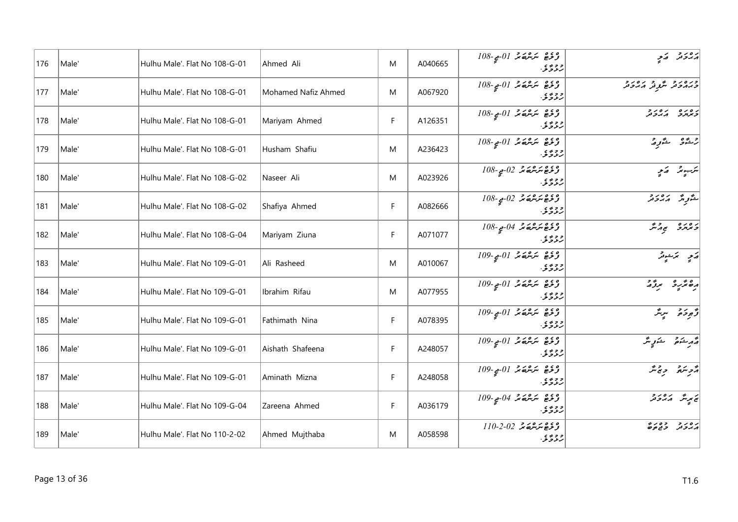| 176 | Male'     | Hulhu Male'. Flat No 108-G-01 | Ahmed Ali           | M  | A040665 | $108 - 01$ وَحَوْهِ سَرَسْهَمْ $01 - 2$<br>ر و و و .<br>رنگوری                 | ړ ور په په                     |
|-----|-----------|-------------------------------|---------------------|----|---------|--------------------------------------------------------------------------------|--------------------------------|
| 177 | Male'     | Hulhu Male'. Flat No 108-G-01 | Mohamed Nafiz Ahmed | M  | A067920 | $108 - 01$ تَرْحَى سَرْسَمَة $10 - 1$<br><u>رووي.</u>                          | ورەر دېمبر دې دەر د            |
| 178 | Male'     | Hulhu Male'. Flat No 108-G-01 | Mariyam Ahmed       | F  | A126351 | $108 - 01$ تَرْحَى سَرْسَمَة $10 - 1$<br>و و و ء .<br>رند <del>و</del> نو      | נסנס גסנד<br><i>כ</i> מתכ המכת |
| 179 | Male'     | Hulhu Male'. Flat No 108-G-01 | Husham Shafiu       | M  | A236423 | $108 - 01$ وَوَدْعَ سَرْسَمَة $01 - 2$<br>ر و و و .<br>رنگوری                  | رحمقو مقررة                    |
| 180 | Male'     | Hulhu Male'. Flat No 108-G-02 | Naseer Ali          | M  | A023926 | $108$ - و د م ه سره ملاح کې د 108- د $02$<br>ر و و و .<br>رند <del>و</del> و . | لترجيح الأمج                   |
| 181 | Male'     | Hulhu Male'. Flat No 108-G-02 | Shafiya Ahmed       | F  | A082666 | $108$ - وَ حَرْمٍ سَرْسَرَةَ مَرْ $-02$ - مِي<br>و و و ء .<br>رندگرنگ          | شگورگر كەردوللە                |
| 182 | $ $ Male' | Hulhu Male'. Flat No 108-G-04 | Mariyam Ziuna       | F. | A071077 | $108$ - وَ دَوْعِ سَرْسَرَ صَحْر $-04$<br>ر و و و .<br>رنگوری                  | במתכ תמית                      |
| 183 | Male'     | Hulhu Male'. Flat No 109-G-01 | Ali Rasheed         | M  | A010067 | $109$ - وَ دَوْعِ سَرْسَرَة حَدِّ<br>ج و بر ي.<br>رنگوري                       | أركمني المركب وكر              |
| 184 | Male'     | Hulhu Male'. Flat No 109-G-01 | Ibrahim Rifau       | M  | A077955 | $109 - 01$ تَرْحَى سَرْسَمَة $10 - 0$<br>و و و ء .<br>رند <del>و</del> نو      | رە ئرىر ئىرزە                  |
| 185 | Male'     | Hulhu Male'. Flat No 109-G-01 | Fathimath Nina      | F. | A078395 | $109$ - وَكَرَمْ سَرْسَمَة $01$ - وِ<br>و و و ي.<br>رندگرنو .                  | قەددە سېتر                     |
| 186 | Male'     | Hulhu Male'. Flat No 109-G-01 | Aishath Shafeena    | F. | A248057 | $109$ - وَ دَوْعِ سَرْسَرَة حَدِّ<br>و و و ي.<br>رنونوگو                       | ۇرمىشقى ھەر ئىگە               |
| 187 | Male'     | Hulhu Male'. Flat No 109-G-01 | Aminath Mizna       | F. | A248058 | $109 - 01$ تَرْحَى سَرْسَمَة $10 - 0$<br>و و و ي.<br>رنونوگو                   | أزويته وبيتر                   |
| 188 | $ $ Male' | Hulhu Male'. Flat No 109-G-04 | Zareena Ahmed       | F. | A036179 | $109$ - وَكَوْهِ مَرْسُرَةَ كَمْ $-04$<br>و و و ي.<br>رنونوگو                  | كى ئېرىش كەركەتلىر             |
| 189 | Male'     | Hulhu Male'. Flat No 110-2-02 | Ahmed Mujthaba      | M  | A058598 | $110 - 2 - 02$ $222 - 202$<br>و و و ء .<br>رند <del>و</del> نو                 | ره رو وه ره<br>גرونر ونړمون    |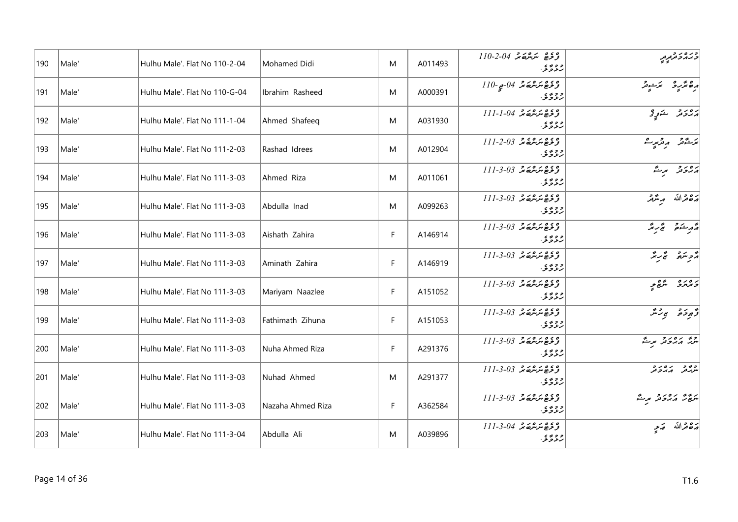| 190 | Male'     | Hulhu Male'. Flat No 110-2-04 | Mohamed Didi      | M  | A011493 | $110-2-04$ $259$ $259$<br>و و و ء .<br>رند <del>و</del> نو        | ح پر و پر و پر پر<br>ح پر پر فر تو پر     |
|-----|-----------|-------------------------------|-------------------|----|---------|-------------------------------------------------------------------|-------------------------------------------|
| 191 | Male'     | Hulhu Male'. Flat No 110-G-04 | Ibrahim Rasheed   | M  | A000391 | و و و مرمور چ -110 مي<br>333ع.<br>مرکو <del>گر</del>              | ەھترىرى ترىشوتر<br>مەھترىرى ترىشوتر       |
| 192 | Male'     | Hulhu Male'. Flat No 111-1-04 | Ahmed Shafeeq     | M  | A031930 | وء و مرمود 111-1-111<br>و و و ي.<br>رند و تو .                    | رەر ئەربى                                 |
| 193 | Male'     | Hulhu Male'. Flat No 111-2-03 | Rashad Idrees     | M  | A012904 | $111 - 2 - 03$ $222 - 82$<br>و و و ي.<br>رند و گو.                | ىرىشۇر برىزىرگ                            |
| 194 | Male'     | Hulhu Male'. Flat No 111-3-03 | Ahmed Riza        | M  | A011061 | $111 - 3 - 03$ $2222 - 82$<br>ر و و ء .<br>رند <del>و</del> و .   | رەرد برگ                                  |
| 195 | Male'     | Hulhu Male'. Flat No 111-3-03 | Abdulla Inad      | M  | A099263 | ووم شر <i>م خود 111-3-03</i><br>ر و و ء .<br>رند <del>و</del> و . | مَدْهَ مَّرَاللَّهُ مِسَّرَمَّد           |
| 196 | $ $ Male' | Hulhu Male'. Flat No 111-3-03 | Aishath Zahira    | F. | A146914 | $111 - 3 - 03$ $29.99$<br>و و و ي.<br>رند و گو.                   | أقدم ينحو تجربتمر                         |
| 197 | Male'     | Hulhu Male'. Flat No 111-3-03 | Aminath Zahira    | F  | A146919 | $111 - 3 - 03$ $222 - 82$<br>ر و و ء .<br>رند <del>و</del> و .    | أأروبتكم بمحج بربتمر                      |
| 198 | Male'     | Hulhu Male'. Flat No 111-3-03 | Mariyam Naazlee   | F  | A151052 | ووم شر <i>م خود 111-3-03</i><br>ر و و ء .<br>رند <del>و</del> و . | دەرە شەر                                  |
| 199 | $ $ Male' | Hulhu Male'. Flat No 111-3-03 | Fathimath Zihuna  | F. | A151053 | $111 - 3 - 03$ $29.99$<br>و و و ي.<br>رند و گو.                   | قهوخو بمحاشر                              |
| 200 | $ $ Male' | Hulhu Male'. Flat No 111-3-03 | Nuha Ahmed Riza   | F  | A291376 | $111 - 3 - 03$ $222 - 82$<br>ر و و ء .<br>رند <del>و</del> و .    | ده رورد برگ                               |
| 201 | Male'     | Hulhu Male'. Flat No 111-3-03 | Nuhad Ahmed       | M  | A291377 | $111 - 3 - 03$ $222 - 82$<br>و و و ء .<br>رند <del>و</del> نو     | روبر در در د<br>سرگرفتر م <i>ی</i> کرد کر |
| 202 | $ $ Male' | Hulhu Male'. Flat No 111-3-03 | Nazaha Ahmed Riza | F. | A362584 | $111 - 3 - 03$ $29.99$<br>و و و ي.<br>رند و گو.                   | يَرْجُمْ - دَرُونْد بِرِتْ                |
| 203 | $ $ Male' | Hulhu Male'. Flat No 111-3-04 | Abdulla Ali       | M  | A039896 | ووم مر من 111-3-04<br>و و و ء .<br>رند <del>و</del> نو            | برة قرالله بريحي                          |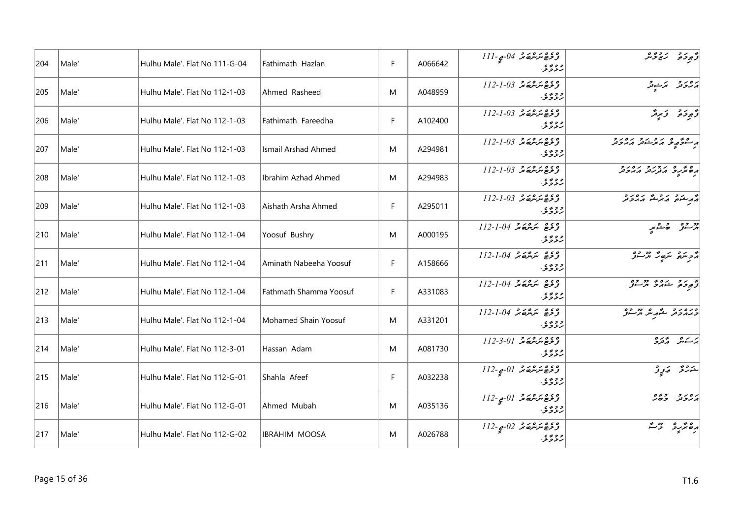| 204 | Male' | Hulhu Male'. Flat No 111-G-04 | Fathimath Hazlan       | F  | A066642 | ووومرمعة كمل والحياء<br>و و و ي.<br>رند و گو.                                  | قەردە سىمۇش                                        |
|-----|-------|-------------------------------|------------------------|----|---------|--------------------------------------------------------------------------------|----------------------------------------------------|
| 205 | Male' | Hulhu Male'. Flat No 112-1-03 | Ahmed Rasheed          | M  | A048959 | $112 - 1 - 03$<br>و و و ء .<br>رند <del>و</del> نو                             | رەرو ئەيدۇر                                        |
| 206 | Male' | Hulhu Male'. Flat No 112-1-03 | Fathimath Fareedha     | F  | A102400 | وء و مرمود 112-1-211<br>و و و ء .<br>رند <del>و</del> و .                      | وَّجِوحَةً وَسِنَّرَ                               |
| 207 | Male' | Hulhu Male'. Flat No 112-1-03 | Ismail Arshad Ahmed    | M  | A294981 | $112 - 1 - 03$ $222 - 82$<br>و و و ء .<br>رند <del>و</del> و .                 | د صوګرو د برو ره رو<br>د سوگړو د برشونز د برونز    |
| 208 | Male' | Hulhu Male'. Flat No 112-1-03 | Ibrahim Azhad Ahmed    | M  | A294983 | $112 - 1 - 03$<br>و و و ء .<br>رند <del>و</del> و .                            | ده نور و دور و ده د و                              |
| 209 | Male' | Hulhu Male'. Flat No 112-1-03 | Aishath Arsha Ahmed    | F  | A295011 | $112 - 1 - 03$ $222 - 82$<br>و و و ء .<br>رند <del>و</del> و .                 | أو من والمروث المرور و                             |
| 210 | Male' | Hulhu Male'. Flat No 112-1-04 | Yoosuf Bushry          | M  | A000195 | <b>112-1-04</b> مَرْسُ 112-1-112<br>و و و ء .<br>رند <del>و</del> نو           | دو وه ه ه شومړ                                     |
| 211 | Male' | Hulhu Male'. Flat No 112-1-04 | Aminath Nabeeha Yoosuf | F  | A158666 | <b>112-1-04</b> مُرْشَرْهُ عَلَى 112-112<br>و و و ء .<br>رند <del>و</del> و .  | أأدمرة أتهار ودادة                                 |
| 212 | Male' | Hulhu Male'. Flat No 112-1-04 | Fathmath Shamma Yoosuf | F  | A331083 | <b>112-1-04</b> مَرْشَرْهُ عَزْ 112-1-44<br>و و و ء .<br>رند <del>و</del> نو . | ه ر د پره د ده<br>ژبوده شمارد ارسوز                |
| 213 | Male' | Hulhu Male'. Flat No 112-1-04 | Mohamed Shain Yoosuf   | M  | A331201 | ووق <i>سَرْسْهَ بِهِ</i> -1-12 <br>ر و و و .<br>رند <del>و</del> تو .          | وره رو ده مهر مرد وه<br><i>وبرو</i> ونر څوړس بر سو |
| 214 | Male' | Hulhu Male'. Flat No 112-3-01 | Hassan Adam            | M  | A081730 | $112 - 3 - 01$<br>و و و ء .<br>رند <del>و</del> و .                            | برَسەش ئەترو                                       |
| 215 | Male' | Hulhu Male'. Flat No 112-G-01 | Shahla Afeef           | F. | A032238 | ووقع مرمعة لال-مي-112<br>و و و ي.<br>رنونوگو                                   | شرژۇ كەردۇ                                         |
| 216 | Male' | Hulhu Male'. Flat No 112-G-01 | Ahmed Mubah            | M  | A035136 | ووم مرمودة 112-يو-112<br>و و و ي.<br>رندگرنگ                                   | ره رح و ده.<br>م.رح تر و ده.                       |
| 217 | Male' | Hulhu Male'. Flat No 112-G-02 | <b>IBRAHIM MOOSA</b>   | M  | A026788 | ووم مرمدة حمد 02-ي-112<br>ر و و ي.<br>رندگرنگ                                  | رە ئرىرو ھ                                         |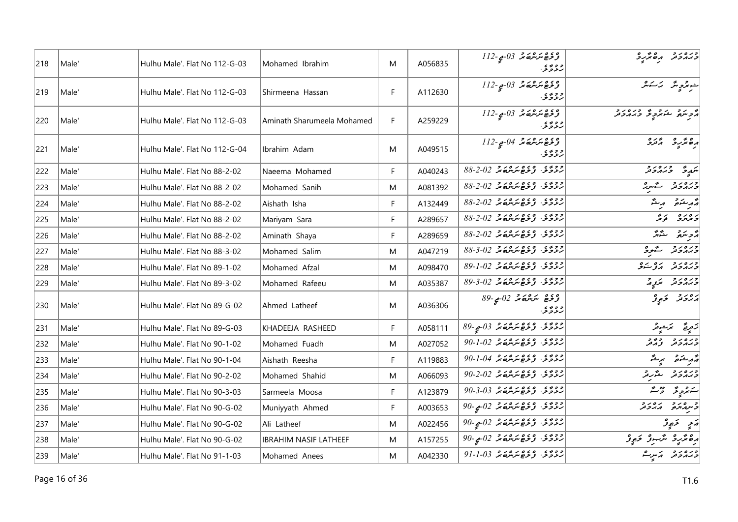| 218 | Male' | Hulhu Male'. Flat No 112-G-03 | Mohamed Ibrahim              | ${\sf M}$ | A056835 | ووم مرمدة كي-112<br>د د وي.<br>رندگرنو                                                                           | בגתכת תפתק                                         |
|-----|-------|-------------------------------|------------------------------|-----------|---------|------------------------------------------------------------------------------------------------------------------|----------------------------------------------------|
| 219 | Male' | Hulhu Male'. Flat No 112-G-03 | Shirmeena Hassan             | F         | A112630 | $112$ - و حصر مرد عدد 30- مي<br>و و و ء .<br>رند و تو .                                                          | جوهرة مركب بركاش                                   |
| 220 | Male' | Hulhu Male'. Flat No 112-G-03 | Aminath Sharumeela Mohamed   | F         | A259229 | و و م مركز 112-ي -112<br>و و و ي.<br>رند <del>و</del> گو.                                                        | ה<br>הקייטה ביתקל במחכת                            |
| 221 | Male' | Hulhu Male'. Flat No 112-G-04 | Ibrahim Adam                 | M         | A049515 | و ۽ وير وير چ -112 ج<br>333ع.<br>مرکو <del>گر</del>                                                              | دە ئەر ئەرە                                        |
| 222 | Male' | Hulhu Male'. Flat No 88-2-02  | Naeema Mohamed               | F         | A040243 | 38-2-02 مرتفق مرتفقة 2-02-88                                                                                     | أشمد وره دو                                        |
| 223 | Male' | Hulhu Male'. Flat No 88-2-02  | Mohamed Sanih                | M         | A081392 | 38-2-02 كوم محمد 2-2-88 -88                                                                                      | ورەرو شهره                                         |
| 224 | Male' | Hulhu Male'. Flat No 88-2-02  | Aishath Isha                 | F         | A132449 | 33-2-02 كونجا تر مركز 2-02-88                                                                                    | أقهر شدة وبشة                                      |
| 225 | Male' | Hulhu Male'. Flat No 88-2-02  | Mariyam Sara                 | F         | A289657 | 38-2-02 مرتفقة 2-02-88                                                                                           | ره ره در                                           |
| 226 | Male' | Hulhu Male'. Flat No 88-2-02  | Aminath Shaya                | F.        | A289659 | 38-2-02 مربوعة مربوعة 2-02-88                                                                                    | أروبترة الشرائر                                    |
| 227 | Male' | Hulhu Male'. Flat No 88-3-02  | Mohamed Salim                | M         | A047219 | 333 <i>-3 و 5 ق مرمونة 2</i> 20-3-88                                                                             | ورەر د شوۋ                                         |
| 228 | Male' | Hulhu Male'. Flat No 89-1-02  | Mohamed Afzal                | M         | A098470 | 32 <i>32. ووقع مرمومة كى 1-02-89</i>                                                                             | ورەرو رەپ                                          |
| 229 | Male' | Hulhu Male'. Flat No 89-3-02  | Mohamed Rafeeu               | M         | A035387 | 32 <i>3 - 33 مربوعة كما 10-3-89</i>                                                                              | ورەر ئىرى                                          |
| 230 | Male' | Hulhu Male'. Flat No 89-G-02  | Ahmed Latheef                | M         | A036306 | ووقع ترشه عمر 02-يې-89<br>ر و و ي.<br>رند <del>و</del> نو                                                        | رەر ئەۋى                                           |
| 231 | Male' | Hulhu Male'. Flat No 89-G-03  | KHADEEJA RASHEED             | F         | A058111 | وووي وووم بره عز 03-يې-89                                                                                        | كرترقح المرشوقر                                    |
| 232 | Male' | Hulhu Male'. Flat No 90-1-02  | Mohamed Fuadh                | M         | A027052 | 22 <i>32. وقي</i> قة شهدة 1-02-90                                                                                | ورەر د دەر<br><i>دىد</i> ىرىتر <mark>ز</mark> ىرتر |
| 233 | Male' | Hulhu Male'. Flat No 90-1-04  | Aishath Reesha               | F.        | A119883 | 90-1-04 تر قوع مر شهر 1-04-90                                                                                    | وكرم شكو المحمي المحمد                             |
| 234 | Male' | Hulhu Male'. Flat No 90-2-02  | Mohamed Shahid               | M         | A066093 | 22 <i>32. وقي</i> عرب معد 2-02-90                                                                                | ورەر دەر ئەر<br><i>دىد</i> ەر تەرىر                |
| 235 | Male' | Hulhu Male'. Flat No 90-3-03  | Sarmeela Moosa               | F         | A123879 | 90-3-03 تركم مركبهم 3-03-90                                                                                      | سنزوٍ وَاللَّهُ                                    |
| 236 | Male' | Hulhu Male'. Flat No 90-G-02  | Muniyyath Ahmed              | F         | A003653 | 332 - وقوع مر شھ بڑے 20-ي <u>ې -9</u> 0                                                                          | כ סניכ נסניכ<br>המתחים הגבת                        |
| 237 | Male' | Hulhu Male'. Flat No 90-G-02  | Ali Latheef                  | M         | A022456 | 233 - ووقع مرمورة 2 - والمحادية المحافظة المحافظة المحافظة المحافظة المحافظة المحافظة المحافظة المحافظة المحافظة | ړې د پور                                           |
| 238 | Male' | Hulhu Male'. Flat No 90-G-02  | <b>IBRAHIM NASIF LATHEEF</b> | Μ         | A157255 | ر دوي . و ۽ و مرمو ۽ كر 20-ي <sub>ع</sub> -90                                                                    | رەندېرد ئرىبور دېږر                                |
| 239 | Male' | Hulhu Male'. Flat No 91-1-03  | Mohamed Anees                | Μ         | A042330 | 22 <i>22</i> . ووقع مرمضة 1-03-91.                                                                               | ورەرو كەرگ                                         |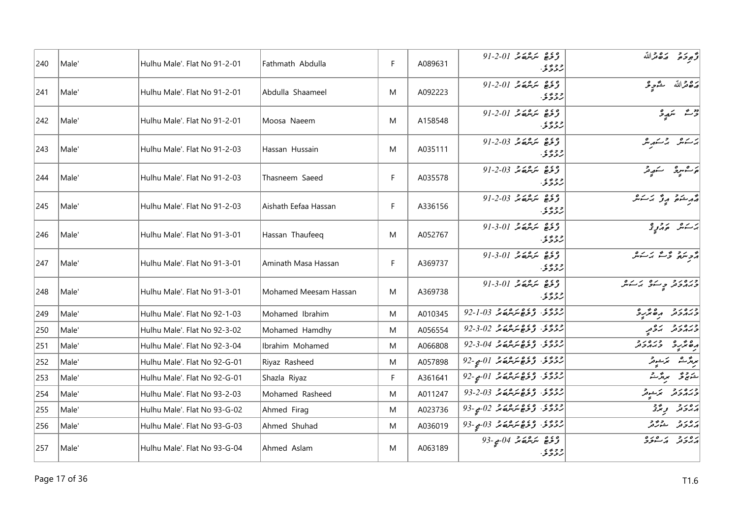| 240 | Male' | Hulhu Male'. Flat No 91-2-01 | Fathmath Abdulla      | $\mathsf F$ | A089631 | $91 - 2 - 01$ $222 - 22$<br>ر و و ء .<br>رند <del>و</del> و .        | قرجوحته وكالحدالله                     |
|-----|-------|------------------------------|-----------------------|-------------|---------|----------------------------------------------------------------------|----------------------------------------|
| 241 | Male' | Hulhu Male'. Flat No 91-2-01 | Abdulla Shaameel      | M           | A092223 | وْ دْ عْ سَرْسْهَ سْ 10-2-91<br>ر و و د ي.<br>رند <del>و</del> نو    | رە قراللە ھەر ئو                       |
| 242 | Male' | Hulhu Male'. Flat No 91-2-01 | Moosa Naeem           | M           | A158548 | وَوْعِ سَرْسَهَ صَدَ 91-2-01<br>333ع.<br>رنم <b>و</b> څو             | ر پی سمبرو                             |
| 243 | Male' | Hulhu Male'. Flat No 91-2-03 | Hassan Hussain        | M           | A035111 | وْ دْ ھُ سَرْسْھَ سْ 91-2-03<br>ح و و ي.<br>رنو و تو .               | يركشا الرائد بالكرامل                  |
| 244 | Male' | Hulhu Male'. Flat No 91-2-03 | Thasneem Saeed        | F.          | A035578 | وَوْعِ سَرْسَهَ جَلْ 91-2-03<br>و و و ء .<br>رنونونو .               | ەر شەھرىقە ئىسكىرىتى                   |
| 245 | Male' | Hulhu Male'. Flat No 91-2-03 | Aishath Eefaa Hassan  | F.          | A336156 | ووق سَرْسَ صَدَ 91-2-19<br>و و و ء .<br>رند <del>و</del> نو .        | ە مەسىم ئەرق بەسكىل                    |
| 246 | Male' | Hulhu Male'. Flat No 91-3-01 | Hassan Thaufeeq       | M           | A052767 | وْ دْ عَ سَرْسْهَ سْ 10-3-91<br>و و و ء .<br>رند <del>و</del> نو .   | بر سەھەر ئەرەپ ئ                       |
| 247 | Male' | Hulhu Male'. Flat No 91-3-01 | Aminath Masa Hassan   | F.          | A369737 | وَوْعِ سَرْسَهْ حَدْ 10-3-91<br>333ع.<br>رنم <b>و</b> څو             | مەد ئىر ئەس ئەسكىل                     |
| 248 | Male' | Hulhu Male'. Flat No 91-3-01 | Mohamed Meesam Hassan | M           | A369738 | و <sub>و</sub> و س <i>رموه بر 10</i> -3-91<br>ح و و ي.<br>رنو و تو . | ورەرو دە ئەسەر                         |
| 249 | Male' | Hulhu Male'. Flat No 92-1-03 | Mohamed Ibrahim       | Μ           | A010345 | 92-1-03 كوم مرمود 1-03-1-92                                          | כממכני תפתיק                           |
| 250 | Male' | Hulhu Male'. Flat No 92-3-02 | Mohamed Hamdhy        | M           | A056554 | 32°30. ووقع مرتفى 22-3-02.                                           | ورەر درەر                              |
| 251 | Male' | Hulhu Male'. Flat No 92-3-04 | Ibrahim Mohamed       | M           | A066808 | 32°3. ووفق مرمود بال1-3-92                                           | ת היי כמתכת                            |
| 252 | Male' | Hulhu Male'. Flat No 92-G-01 | Riyaz Rasheed         | M           | A057898 | ج ج ع . و و و و مر مر م ي 10-ي -92                                   | پروگرنے کر سوفر                        |
| 253 | Male' | Hulhu Male'. Flat No 92-G-01 | Shazla Riyaz          | F.          | A361641 | وووي. ووقع مرمع مرسم 10-يي-92                                        | شەيخ ئىمەرگەشە                         |
| 254 | Male' | Hulhu Male'. Flat No 93-2-03 | Mohamed Rasheed       | M           | A011247 | 232 - 3 <i>3 مرتبطة مراج</i> ع 2-93                                  | ورەرو بەيدۇر                           |
| 255 | Male' | Hulhu Male'. Flat No 93-G-02 | Ahmed Firag           | M           | A023736 | وووي. وءه مرش هغه 02-يې-93                                           | پروتر پیڅو                             |
| 256 | Male' | Hulhu Male'. Flat No 93-G-03 | Ahmed Shuhad          | M           | A036019 | دوۋى ووۋىرىمەتمە 30-يې-93                                            | ره رو دوو<br>پرېرو شورتو               |
| 257 | Male' | Hulhu Male'. Flat No 93-G-04 | Ahmed Aslam           | M           | A063189 | وْ دْعْ سَرْسْهَ بْرْ -94- وْ -93<br>و و و ء .<br>رند و تو .         | גם גם גם גם<br>הגבת הב <del>יכ</del> כ |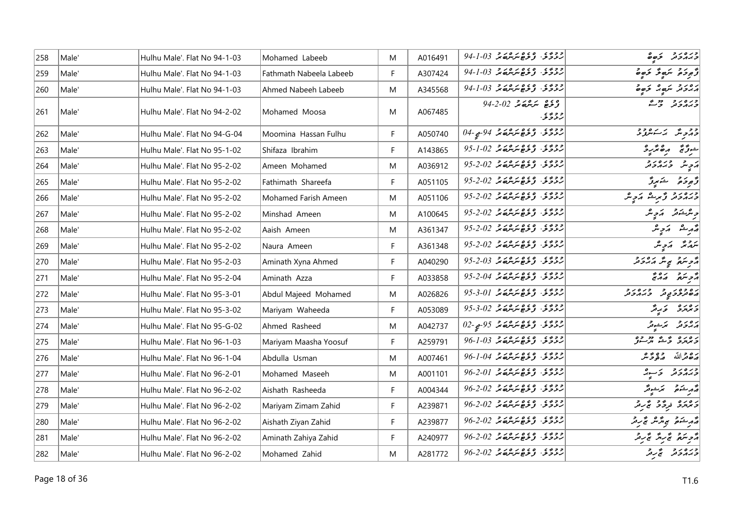| 258 | Male' | Hulhu Male'. Flat No 94-1-03 | Mohamed Labeeb          | M  | A016491 | 94-1-03 دىھ ئىر ش <i>ھەتى</i> 1-03-94                 | وره دو که ه                                     |
|-----|-------|------------------------------|-------------------------|----|---------|-------------------------------------------------------|-------------------------------------------------|
| 259 | Male' | Hulhu Male'. Flat No 94-1-03 | Fathmath Nabeela Labeeb | F. | A307424 | 94-1-03 دوم مرمود 1-03-94                             | توجوده تتهو توه                                 |
| 260 | Male' | Hulhu Male'. Flat No 94-1-03 | Ahmed Nabeeh Labeeb     | M  | A345568 | 322 - وقوع <i>مرمومة 1-03-94</i>                      | أربر دين ترجيح ترجيح                            |
| 261 | Male' | Hulhu Male'. Flat No 94-2-02 | Mohamed Moosa           | M  | A067485 | ووفي س <i>ترم حدث</i> 2-02-94<br>و و و ء .<br>رندگرمو | وره دو دور                                      |
| 262 | Male' | Hulhu Male'. Flat No 94-G-04 | Moomina Hassan Fulhu    | F. | A050740 | وووي - ووه مرموه پژ 94-يې-04                          | ودوبٹر برےمورد                                  |
| 263 | Male' | Hulhu Male'. Flat No 95-1-02 | Shifaza Ibrahim         | F  | A143865 | 95-1-02 ر <i>وۋھ مرموم كى 1</i> -02-                  | ەرھ ئۆر ۋ<br>ڪو <i>ڙ</i> چُ                     |
| 264 | Male' | Hulhu Male'. Flat No 95-2-02 | Ameen Mohamed           | M  | A036912 | 232 - 339 مرمود 2-02-95                               | و ره ر د<br>تر <i>پر</i> وتر<br>وكمبير          |
| 265 | Male' | Hulhu Male'. Flat No 95-2-02 | Fathimath Shareefa      | F  | A051105 | 232 - 3 <i>53 مربوعة كى 2-2-95</i>                    | ژودۇ خىرۇ                                       |
| 266 | Male' | Hulhu Male'. Flat No 95-2-02 | Mohamed Farish Ameen    | M  | A051106 | 232 - 3 <i>53 مرمونة كى 2-02-95</i>                   | ورەرو ۋىرىش كەچ                                 |
| 267 | Male' | Hulhu Male'. Flat No 95-2-02 | Minshad Ameen           | M  | A100645 | 332 - 35 <i>8 مرمونة حد</i> 2-02-95                   | ويرتشون كالمحيان                                |
| 268 | Male' | Hulhu Male'. Flat No 95-2-02 | Aaish Ameen             | M  | A361347 | 232 - 3 <i>53 مربوعة كى 2-2-95</i>                    | أمُر مِنْ أَرَدِيْرَ                            |
| 269 | Male' | Hulhu Male'. Flat No 95-2-02 | Naura Ameen             | F  | A361348 | 333 - 3 <i>49 مربوعة كى 2-02-95</i>                   | يرد بو پر ډېر پر                                |
| 270 | Male' | Hulhu Male'. Flat No 95-2-03 | Aminath Xyna Ahmed      | F  | A040290 | 95-2-03 $2.82$ $2.83$                                 | أأزو سكتم بمجاشر أيراد فكر                      |
| 271 | Male' | Hulhu Male'. Flat No 95-2-04 | Aminath Azza            | F  | A033858 | 332 - 3 <i>59 مرمومة بد 10-2-95</i>                   | مرد سره مدمر                                    |
| 272 | Male' | Hulhu Male'. Flat No 95-3-01 | Abdul Majeed Mohamed    | M  | A026826 | 333 - 3 <i>49 مرمومة حداد 1-3-95</i>                  | ر ه وه ر و په وره ر و<br>پره ترڅر څو په چر چر چ |
| 273 | Male' | Hulhu Male'. Flat No 95-3-02 | Mariyam Waheeda         | F  | A053089 | 33 <i>3°، وفي مربوعة 1</i> 2°3-95.                    | دەرە ئەيگ                                       |
| 274 | Male' | Hulhu Male'. Flat No 95-G-02 | Ahmed Rasheed           | M  | A042737 | وووي وءومرم من 95-يي-02                               | رورو كرجور                                      |
| 275 | Male' | Hulhu Male'. Flat No 96-1-03 | Mariyam Maasha Yoosuf   | F  | A259791 | 332 - وقوع <i>مرمومة 1-03-96</i>                      | رەرە پەيدىن دەرە<br><i>دى</i> رىرى ۋىشە برىسى   |
| 276 | Male' | Hulhu Male'. Flat No 96-1-04 | Abdulla Usman           | M  | A007461 | 332 - 3 <i>59 مرمومة بد 1-04-96</i>                   | أرەقراللە مەم ئىر                               |
| 277 | Male' | Hulhu Male'. Flat No 96-2-01 | Mohamed Maseeh          | M  | A001101 | 22 <i>32. وقوع مرمومة بد 2-01-96</i>                  | ورەرو كەسىر                                     |
| 278 | Male' | Hulhu Male'. Flat No 96-2-02 | Aishath Rasheeda        | F. | A004344 | 333 - 3 <i>53 - مرتبط عبد 2-02-96</i>                 | لأمر شكوتم التمر شوقر                           |
| 279 | Male' | Hulhu Male'. Flat No 96-2-02 | Mariyam Zimam Zahid     | F  | A239871 | 22 <i>32. وقي مربوعة 2-02-96</i>                      | د وبرو <sub>فر</sub> ود ځرنگ                    |
| 280 | Male' | Hulhu Male'. Flat No 96-2-02 | Aishath Ziyan Zahid     | F. | A239877 | 32-32 . ووقع <i>مرتبط م</i> ركة 2-02-96               | ومرشكوهم بالمرشر لتمرش                          |
| 281 | Male' | Hulhu Male'. Flat No 96-2-02 | Aminath Zahiya Zahid    | F  | A240977 | 22 <i>32. وقي مربوعة 2-02-96</i>                      | أوجه يتمر ويحج المجار وقر                       |
| 282 | Male' | Hulhu Male'. Flat No 96-2-02 | Mohamed Zahid           | M  | A281772 | $96 - 2 - 02$ حِمْدَةَ مِنْ سَمْعَةَ حَمْدَ 2-02-96   | ورەرو ئەر                                       |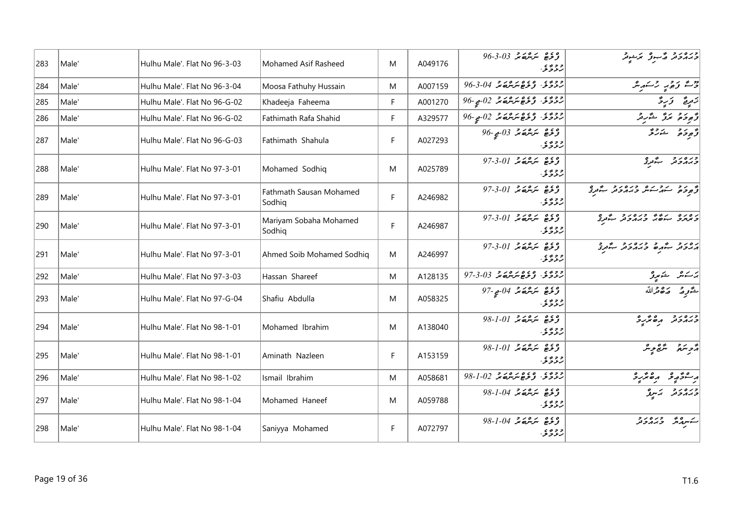| 283 | Male' | Hulhu Male'. Flat No 96-3-03 | Mohamed Asif Rasheed                     | M           | A049176 | $96 - 3 - 03$ $222 - 82$<br>ر و و ء .<br>رند <del>و</del> نو                | ورەرو ھېرو مرشون             |
|-----|-------|------------------------------|------------------------------------------|-------------|---------|-----------------------------------------------------------------------------|------------------------------|
| 284 | Male' | Hulhu Male'. Flat No 96-3-04 | Moosa Fathuhy Hussain                    | M           | A007159 | 96-3-04 مرمود بير 10-3-96                                                   | وقت دويا رقستهر مع           |
| 285 | Male' | Hulhu Male'. Flat No 96-G-02 | Khadeeja Faheema                         | F.          | A001270 | 332 - 359 مري <i>مھ پر 2</i> 0-ي <sub>و</sub> -96                           | زَمِرِجٌ وَرِدٌ              |
| 286 | Male' | Hulhu Male'. Flat No 96-G-02 | Fathimath Rafa Shahid                    | F.          | A329577 | وووي - وء و مرموز 20-يې-96.<br>حدوگو- وگوه مرموز كى 12-يې-96.               | ر<br>ئۇۋۇق بۇق شۇرىۋ         |
| 287 | Male' | Hulhu Male'. Flat No 96-G-03 | Fathimath Shahula                        | E           | A027293 | ووق سَرْسَهُ جَلْ 96-مِي-96<br>ج و بر ي.<br>رنگوري                          | ۇ بۇ ئەرەپچە                 |
| 288 | Male' | Hulhu Male'. Flat No 97-3-01 | Mohamed Sodhiq                           | M           | A025789 | ووق سَرْسِهِ عَزَالَ-3-97<br>ج و بر ي.<br>رنگوري                            | ورەرو گېرنج                  |
| 289 | Male' | Hulhu Male'. Flat No 97-3-01 | <b>Fathmath Sausan Mohamed</b><br>Sodhiq | $\mathsf F$ | A246982 | $97 - 3 - 01$ $222 - 82$<br>ر د و ء .<br>ر د <del>و</del> و .               | و د د د د د ه د ده د د چره و |
| 290 | Male' | Hulhu Male'. Flat No 97-3-01 | Mariyam Sobaha Mohamed<br>Sodhiq         | F           | A246987 | <i>97-3-01</i> مَرْمُهُمْ 97-3-1<br>و و و ء .<br>رند <del>و</del> نو        | נסנס נשי כנסנכ שינים         |
| 291 | Male' | Hulhu Male'. Flat No 97-3-01 | Ahmed Soib Mohamed Sodhiq                | M           | A246997 | $97 - 3 - 01$ $222 - 9$<br>و و و ء .<br>رند <del>و</del> و .                | رەرد بەر 37010 بەردىر        |
| 292 | Male' | Hulhu Male'. Flat No 97-3-03 | Hassan Shareef                           | M           | A128135 | 32 <i>3-3 و 53 مرموم 1</i> 3-3-97                                           | برسكش الحكم يوقر             |
| 293 | Male' | Hulhu Male'. Flat No 97-G-04 | Shafiu Abdulla                           | M           | A058325 | ووق سَرْسَهُ جَلْ -91 جِ -97<br>ج و بر ي.<br>رنگوري                         | يحور كان من الله             |
| 294 | Male' | Hulhu Male'. Flat No 98-1-01 | Mohamed Ibrahim                          | M           | A138040 | وْدِعْ سَرْسْهَ صَدْ 1-01-98<br><u>رووي.</u>                                | ورەرو مەگرى                  |
| 295 | Male' | Hulhu Male'. Flat No 98-1-01 | Aminath Nazleen                          | F           | A153159 | <b>98-1-01</b> مَرْشَهَ حَمْدِ 1-01-98<br>و و و ء .<br>رند <del>و</del> و . | أزجا سترجع ويثر              |
| 296 | Male' | Hulhu Male'. Flat No 98-1-02 | Ismail Ibrahim                           | M           | A058681 | 98-1-02 دې ه شرقي 1-02-98                                                   | ر عۇرپۇ رەتئەر               |
| 297 | Male' | Hulhu Male'. Flat No 98-1-04 | Mohamed Haneef                           | M           | A059788 | ووق سَرْسَهَ 1-04-1-98<br>و و و ء .<br>رند <del>و</del> و .                 | ورەر بەر                     |
| 298 | Male' | Hulhu Male'. Flat No 98-1-04 | Saniyya Mohamed                          | E           | A072797 | ووق سَرْسَ 1-04-1-98<br>و و و ء .<br>رو و و .                               | הייתה בגם בי                 |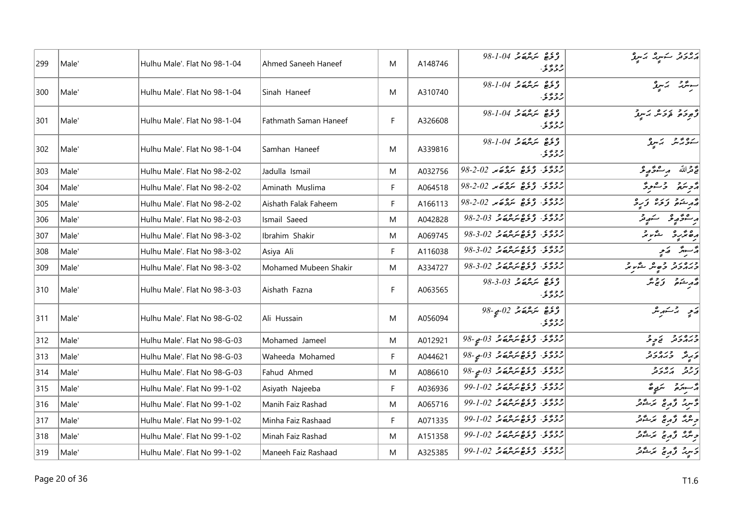| 299 | Male' | Hulhu Male'. Flat No 98-1-04 | Ahmed Saneeh Haneef   | M  | A148746 | ووق <i>مرممة بال-1-98</i><br>و و و ء .<br>رند <del>و</del> نو           | ړ د د ته شمېر له ټه پر         |
|-----|-------|------------------------------|-----------------------|----|---------|-------------------------------------------------------------------------|--------------------------------|
| 300 | Male' | Hulhu Male'. Flat No 98-1-04 | Sinah Haneef          | M  | A310740 | ووق <del>م</del> رم 1-04-98<br>ر و و و .<br>رنگوری                      | سوسر كالمحاسر                  |
| 301 | Male' | Hulhu Male'. Flat No 98-1-04 | Fathmath Saman Haneef | F  | A326608 | ووق <i>مرممة بال-1-98</i><br>و و د ي.<br>رنونو تو .                     | تقوضي فالتحاش بمستقى           |
| 302 | Male' | Hulhu Male'. Flat No 98-1-04 | Samhan Haneef         | M  | A339816 | <b>98-1-04</b> مَرْشَرْهُ عَزْ 1-04<br>و و و ء .<br>رنو <del>و</del> نو | سەۋرىس بەيدى                   |
| 303 | Male' | Hulhu Male'. Flat No 98-2-02 | Jadulla Ismail        | M  | A032756 | 22 <i>32. وق</i> وم شر <i>ومً بر 202-98</i>                             | مەستۇم بۇ<br>قُوْقَرْاللّه     |
| 304 | Male' | Hulhu Male'. Flat No 98-2-02 | Aminath Muslima       | F  | A064518 | 22 <i>32. وق</i> وم شر <i>ومً بر 202-98</i>                             | أأروسهم ومشورة                 |
| 305 | Male' | Hulhu Male'. Flat No 98-2-02 | Aishath Falak Faheem  | F  | A166113 | 22 <i>32. وق</i> وم شر <i>ومً بر 202-98</i>                             | وأرشاه ودره ورو                |
| 306 | Male' | Hulhu Male'. Flat No 98-2-03 | Ismail Saeed          | M  | A042828 | 333 - 3 <i>49 - 352 - 38 - 352</i>                                      | برڪروپو ڪري                    |
| 307 | Male' | Hulhu Male'. Flat No 98-3-02 | Ibrahim Shakir        | M  | A069745 | 98-3-02 وع عرش حدث 30-3-98                                              | رەنۇرۇ شىرىر                   |
| 308 | Male' | Hulhu Male'. Flat No 98-3-02 | Asiya Ali             | F. | A116038 | 33 <i>3 - 33 مربوعة كما 10-3-98</i>                                     | ړ سور کرم                      |
| 309 | Male' | Hulhu Male'. Flat No 98-3-02 | Mohamed Mubeen Shakir | M  | A334727 | 33 <i>3°، ووفا مرموماتي 20-3-98</i>                                     | ورەرو وەر ئەر                  |
| 310 | Male' | Hulhu Male'. Flat No 98-3-03 | Aishath Fazna         | F  | A063565 | <b>98-3-03</b> مَرْمُهُمْ 98-3-98<br>و و و ي.<br>رنگوري                 | ۇرىشقى ئۇچ                     |
| 311 | Male' | Hulhu Male'. Flat No 98-G-02 | Ali Hussain           | M  | A056094 | وْ وْ عْ سَرْسْهَ بْرْ -02-ي -98<br>و و و ي.<br>رنگوري                  | أەير بر سىر بىر                |
| 312 | Male' | Hulhu Male'. Flat No 98-G-03 | Mohamed Jameel        | Μ  | A012921 | وووي. وءومرمرمرمر 30-يې-98                                              | ورەرو يەرو                     |
| 313 | Male' | Hulhu Male'. Flat No 98-G-03 | Waheeda Mohamed       | F  | A044621 | وووي. وء ۾ مرموڪ پڻ 03-يي-98                                            | دره دره دره<br>  درگر درگردونر |
| 314 | Male' | Hulhu Male'. Flat No 98-G-03 | Fahud Ahmed           | M  | A086610 | 332 - وقوع مرمكة كى 13-ي <sub>و</sub> -98                               | تروو برورو                     |
| 315 | Male' | Hulhu Male'. Flat No 99-1-02 | Asiyath Najeeba       | F. | A036936 | 99-1-02 وع عرش 1-02-99                                                  | تر سورتر تریم شریع ته          |
| 316 | Male' | Hulhu Male'. Flat No 99-1-02 | Manih Faiz Rashad     | M  | A065716 | 333 - 339 م <i>ربوعة كى 1-02-</i> 99                                    | دُّسِدُ وُمِعَ مَشْرَدُ        |
| 317 | Male' | Hulhu Male'. Flat No 99-1-02 | Minha Faiz Rashaad    | F. | A071335 | 99-1-02 رُوڤو مَرْسْرَة حَدَّ 1-02-99                                   | وبثرة اؤربع المتفقر            |
| 318 | Male' | Hulhu Male'. Flat No 99-1-02 | Minah Faiz Rashad     | M  | A151358 | 333 - 339 م <i>ربوعة كى 1-02-</i> 99                                    | وبتركه قرمرتج بمرتشور          |
| 319 | Male' | Hulhu Male'. Flat No 99-1-02 | Maneeh Faiz Rashaad   | M  | A325385 | وووي و و و و ه مره ه چې 1-02-1-99                                       | دَسِرٌ رُّ مِنْ مَرْشُورٌ      |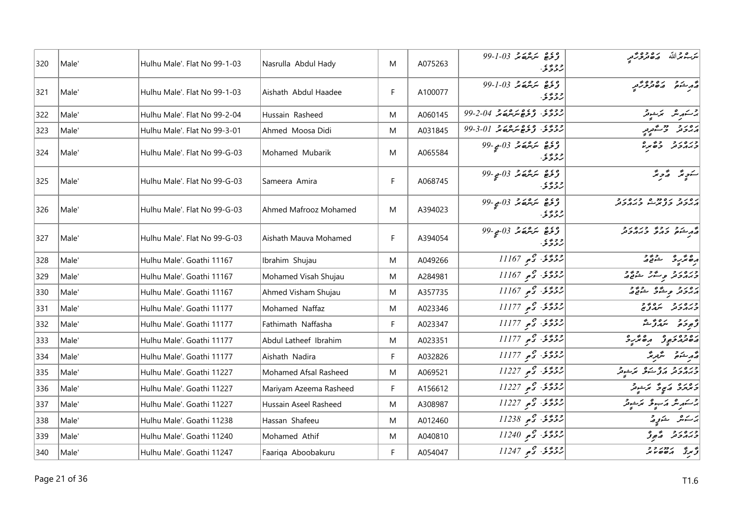| 320 | Male' | Hulhu Male'. Flat No 99-1-03 | Nasrulla Abdul Hady    | M  | A075263 | <i>ووفي مرمه خدا 1-03-1</i><br>و و و ء .<br>رند <del>و</del> نو                  | تترجع الله حق قرقرتعر                      |
|-----|-------|------------------------------|------------------------|----|---------|----------------------------------------------------------------------------------|--------------------------------------------|
| 321 | Male' | Hulhu Male'. Flat No 99-1-03 | Aishath Abdul Haadee   | F. | A100077 | وْوْعْ سَرْسْهَ صْ 1-03-99<br>و و و ي.<br>رنونوگو                                | م دو دەدە ئور                              |
| 322 | Male' | Hulhu Male'. Flat No 99-2-04 | Hussain Rasheed        | M  | A060145 | 99-2-04 ترىم مەر 2042-99                                                         | برسكور مكرجوند                             |
| 323 | Male' | Hulhu Male'. Flat No 99-3-01 | Ahmed Moosa Didi       | M  | A031845 | 33 <i>-3 - 33 مرمودة كى 10-3-99</i>                                              | ره ر د در معرور<br>در در در معرور          |
| 324 | Male' | Hulhu Male'. Flat No 99-G-03 | Mohamed Mubarik        | M  | A065584 | <b>وْ دْھْ سَرْسْھَ بْرْ</b> 03-ي <sub>و</sub> -99<br>و و و ي.<br>رند و تو .     | כנסנכ כשינים                               |
| 325 | Male' | Hulhu Male'. Flat No 99-G-03 | Sameera Amira          | F. | A068745 | و <i>و عاه متر شهر 13-ي</i> -99<br>و و و ء .<br>رو <del>و</del> و .              | سَوِيرٌ الرَّوِيرُ                         |
| 326 | Male' | Hulhu Male'. Flat No 99-G-03 | Ahmed Mafrooz Mohamed  | M  | A394023 | و و و مر <i>سم و 3</i> 0-ي <sub>ع</sub> -99<br>و و و ي.<br>رنونوگو               | גם גם גם חם פגם גב<br>הגבת כציגייי בגהבת   |
| 327 | Male' | Hulhu Male'. Flat No 99-G-03 | Aishath Mauva Mohamed  | F. | A394054 | و و و مر <i>سم و 3</i> 0-ي <sub>ع</sub> -99<br>ر و و و .<br>رند <del>و</del> و . | ورشده دوه وره دو                           |
| 328 | Male' | Hulhu Male'. Goathi 11167    | Ibrahim Shujau         | M  | A049266 | $11167$ جِمْعَ مِنْ $32$                                                         | ړ ه ټر په د د د د                          |
| 329 | Male' | Hulhu Male'. Goathi 11167    | Mohamed Visah Shujau   | M  | A284981 | $11167$ جِمْعَةٌ جَمْعِ 11167                                                    | ورەرو كەشر دەد                             |
| 330 | Male' | Hulhu Male'. Goathi 11167    | Ahmed Visham Shujau    | M  | A357735 | $11167$ جِمْعَ مَعْ $32$                                                         | رەرد وىشۇ ئىق                              |
| 331 | Male' | Hulhu Male'. Goathi 11177    | Mohamed Naffaz         | M  | A023346 | $11177$ جوړي کومو $533$                                                          | כנסנכ נספכ<br><i>כג</i> מכנ ייט <i>ב</i> צ |
| 332 | Male' | Hulhu Male'. Goathi 11177    | Fathimath Naffasha     | F. | A023347 | $11177$ جوړي کومو $533$                                                          | أَوْجِرْ حَمْدٍ مَنْ مَنْ وَالْمُسْتَدِّ   |
| 333 | Male' | Hulhu Male'. Goathi 11177    | Abdul Latheef Ibrahim  | M  | A023351 | $11177$ جون جي جي 11177                                                          | גפננג פי הסתקל                             |
| 334 | Male' | Hulhu Male'. Goathi 11177    | Aishath Nadira         | F. | A032826 | $11177$ جون جي حيد 11177                                                         | ە ئەسسەھ سىتېرىتى                          |
| 335 | Male' | Hulhu Male'. Goathi 11227    | Mohamed Afsal Rasheed  | M  | A069521 | $\frac{22}{3}$ جود محمود 11227                                                   | ورەرو رەپرى كەنبەد                         |
| 336 | Male' | Hulhu Male'. Goathi 11227    | Mariyam Azeema Rasheed | F  | A156612 | $\frac{22}{3}$ جوړي چمو 11227                                                    | د ورو كمبرد كرشونر                         |
| 337 | Male' | Hulhu Male'. Goathi 11227    | Hussain Aseel Rasheed  | M  | A308987 | $\left  \frac{1}{2} \right $ حرم 11227 جنوبہ $\left  \frac{2}{3} \right $        | رجم مكر مركب ومحرك المركب وتر              |
| 338 | Male' | Hulhu Male'. Goathi 11238    | Hassan Shafeeu         | M  | A012460 | $11238$ جَمْعَةً جَمْعِ 11238                                                    | برسكس كالمورثر                             |
| 339 | Male' | Hulhu Male'. Goathi 11240    | Mohamed Athif          | M  | A040810 | $11240$ جَمْعَةَ جَمْعِ $11240$                                                  | وره رو وه.                                 |
| 340 | Male' | Hulhu Male'. Goathi 11247    | Faariqa Aboobakuru     | F. | A054047 | $11247$ جوړي کو                                                                  | 22722                                      |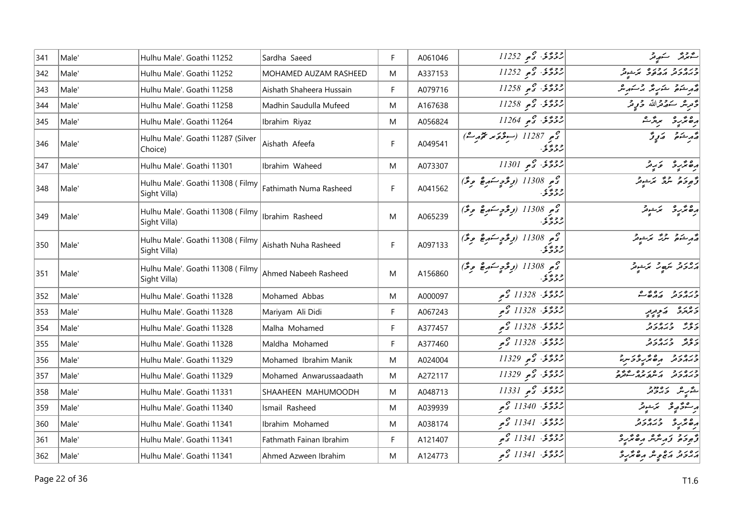| 341 | Male' | Hulhu Male'. Goathi 11252                        | Sardha Saeed             | F. | A061046 | $\left  \frac{252}{2} \right $ حرم 11252                                     | سەيرتى سەربىر                                          |
|-----|-------|--------------------------------------------------|--------------------------|----|---------|------------------------------------------------------------------------------|--------------------------------------------------------|
| 342 | Male' | Hulhu Male'. Goathi 11252                        | MOHAMED AUZAM RASHEED    | M  | A337153 | $11252$ جَمْعَةَ جَمْعِينَ $ 1252 $                                          | ورەر د رورە برخون                                      |
| 343 | Male' | Hulhu Male'. Goathi 11258                        | Aishath Shaheera Hussain | F. | A079716 | $11258$ جَمْعَةً جَمْعِ 11258                                                | قەرشۇق شۇرىگە برىسكىرىك                                |
| 344 | Male' | Hulhu Male'. Goathi 11258                        | Madhin Saudulla Mufeed   | M  | A167638 | $11258$ جَمْعَةَ جَمْعِينَ $258$                                             | دًّ مَر مَرْ مَهْ مَرْ اللّه حَ مِ مَرْ                |
| 345 | Male' | Hulhu Male'. Goathi 11264                        | Ibrahim Riyaz            | M  | A056824 | $11264$ جومجو 11264                                                          | ەھ ئەر ئەسىر ئەرگەن.<br>م                              |
| 346 | Male' | Hulhu Male'. Goathi 11287 (Silver<br>Choice)     | Aishath Afeefa           | F  | A049541 | مجمو 11287 (سوفرغد محمد ث<br>و و و ء .<br>رند <del>و</del> نو                | مەرىشقى مەرۇ                                           |
| 347 | Male' | Hulhu Male'. Goathi 11301                        | Ibrahim Waheed           | M  | A073307 | $11301$ مِحْدَّدٌ وَمِ                                                       | وەترىر ئەيىر                                           |
| 348 | Male' | Hulhu Male'. Goathi 11308 (Filmy<br>Sight Villa) | Fathimath Numa Rasheed   | F  | A041562 | جمو 11308 (وِ فِرْحٍ سَهُرِ هُ وِ مَّ<br>و و و ي.<br>رنونوگو                 | وٌمودَهِ اللهُ اللهُ عَلَيْهِ مِنْ                     |
| 349 | Male' | Hulhu Male'. Goathi 11308 (Filmy<br>Sight Villa) | Ibrahim Rasheed          | M  | A065239 | جمو 11308 (وِحْدِيْسَهُ فَوْتَرَ)<br><sup>ح و پ</sup> وځي.<br>رنونوگو        | رەتزېرو ترىنېر                                         |
| 350 | Male' | Hulhu Male'. Goathi 11308 (Filmy<br>Sight Villa) | Aishath Nuha Rasheed     | F  | A097133 | جمو 11308 (وِ ڤُوجِسَمبوڠ وِ مُحَ)<br>و و و ء .<br>رند <del>و</del> نو       | مەم ئىسمى ئىش ئىشى ئىشلىر                              |
| 351 | Male' | Hulhu Male'. Goathi 11308 (Filmy<br>Sight Villa) | Ahmed Nabeeh Rasheed     | M  | A156860 | جمو 11308 (وِ ڤُوْسٍتَنَهُ فَالْمُسَمَّدُ وَ مُحَمَّ<br>و و و ئي.<br>رنونوگو | رور تر تره ر ترشیتر                                    |
| 352 | Male' | Hulhu Male'. Goathi 11328                        | Mohamed Abbas            | M  | A000097 | وووي. 11328 وه.                                                              | و ر ه ر د<br><del>و</del> بر <sub>م</sub> رکز<br>رەپچە |
| 353 | Male' | Hulhu Male'. Goathi 11328                        | Mariyam Ali Didi         | F. | A067243 |                                                                              | ر ه ر ه<br><del>ر</del> بر بر ژ<br>ړ و در در<br>۶۶۶    |
| 354 | Male' | Hulhu Male'. Goathi 11328                        | Malha Mohamed            | F  | A377457 |                                                                              | و ر ه ر و<br><i>و ټ</i> رو تر<br>رەپىر                 |
| 355 | Male' | Hulhu Male'. Goathi 11328                        | Maldha Mohamed           | F. | A377460 | $\begin{bmatrix} 2 & 1 & 1 & 3 & 2 & 8 \ 1 & 1 & 3 & 2 & 8 \ \end{bmatrix}$  | رەپ درەرد<br>ترىگ ت <i>ەشە</i> ت                       |
| 356 | Male' | Hulhu Male'. Goathi 11329                        | Mohamed Ibrahim Manik    | M  | A024004 | $11329$ جَمْعَةَ جَمْعِ 11329                                                | و ر ه ر و<br><del>ز</del> بر گر تر                     |
| 357 | Male' | Hulhu Male'. Goathi 11329                        | Mohamed Anwarussaadaath  | M  | A272117 | $11329$ جَمْعَةَ جَمْعِ 11329                                                | כנסני נסניכם ששיכ<br>בגהכת היינפיגה – ינקיפ            |
| 358 | Male' | Hulhu Male'. Goathi 11331                        | SHAAHEEN MAHUMOODH       | M  | A048713 | $11331$ جوړي کومي $533$                                                      | مشریکر ویروپو                                          |
| 359 | Male' | Hulhu Male'. Goathi 11340                        | Ismail Rasheed           | M  | A039939 | ر دې دي. 11340 گ                                                             | ىرىشۇن ئۇ ئىز ئىر                                      |
| 360 | Male' | Hulhu Male'. Goathi 11341                        | Ibrahim Mohamed          | M  | A038174 |                                                                              | مەمگرى دىمەدد                                          |
| 361 | Male' | Hulhu Male'. Goathi 11341                        | Fathmath Fainan Ibrahim  | F. | A121407 |                                                                              | ؤودة ورشر رەيرى                                        |
| 362 | Male' | Hulhu Male'. Goathi 11341                        | Ahmed Azween Ibrahim     | M  | A124773 |                                                                              | ג פיני גם כיל הפילקים                                  |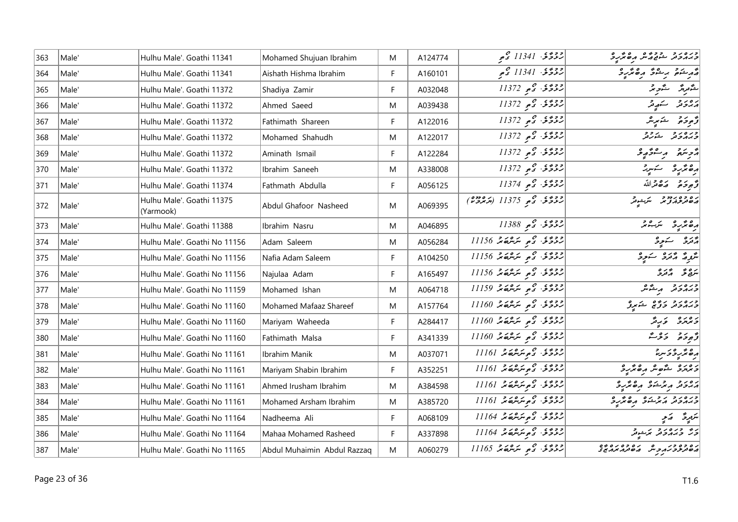| 363 | Male' | Hulhu Male'. Goathi 11341              | Mohamed Shujuan Ibrahim     | M           | A124774 |                                                                                                     | ورەر د دودە مەردە                                       |
|-----|-------|----------------------------------------|-----------------------------|-------------|---------|-----------------------------------------------------------------------------------------------------|---------------------------------------------------------|
| 364 | Male' | Hulhu Male'. Goathi 11341              | Aishath Hishma Ibrahim      | F           | A160101 |                                                                                                     | مەر خەم بەخەر مەمۇر                                     |
| 365 | Male' | Hulhu Male'. Goathi 11372              | Shadiya Zamir               | F           | A032048 | $11372$ جو 11372                                                                                    | شَرْمَرْ سُرْمِرْ                                       |
| 366 | Male' | Hulhu Male'. Goathi 11372              | Ahmed Saeed                 | M           | A039438 | $11372$ جَمْعَ جَمْعِي $11372$                                                                      | أرەر بەر ئىم بە                                         |
| 367 | Male' | Hulhu Male'. Goathi 11372              | Fathimath Shareen           | F           | A122016 | $11372$ جَمْعَةَ جَمْعِي 11372                                                                      | ۇمۇدۇ شېرىر                                             |
| 368 | Male' | Hulhu Male'. Goathi 11372              | Mohamed Shahudh             | M           | A122017 | $11372$ جَمْعَةَ جَمْعِي 11372                                                                      | ورەرو شەدو<br><i>جەم</i> ەدىر شەرىر                     |
| 369 | Male' | Hulhu Male'. Goathi 11372              | Aminath Ismail              | $\mathsf F$ | A122284 | $11372$ جون جي جي $\sim$ 1137                                                                       | مجرجتم مراشقهو                                          |
| 370 | Male' | Hulhu Male'. Goathi 11372              | Ibrahim Saneeh              | M           | A338008 | $11372$ جون جي جي 11372 $\sim$                                                                      | ە ھەترىرى<br>برھەترىرى<br>سەمىرر                        |
| 371 | Male' | Hulhu Male'. Goathi 11374              | Fathmath Abdulla            | F           | A056125 | $11374$ جو 11374                                                                                    | وتجوح وكالله                                            |
| 372 | Male' | Hulhu Male'. Goathi 11375<br>(Yarmook) | Abdul Ghafoor Nasheed       | M           | A069395 | $(222)$ كَرَمْتُو 11375 (مَرْمَرْدُمْ)                                                              | ره وه رود و<br>پ <i>ره تر بر بر</i> سر <sub>شو</sub> تر |
| 373 | Male' | Hulhu Male'. Goathi 11388              | Ibrahim Nasru               | M           | A046895 | $11388$ جِمْعَ مِنْ $2$                                                                             | ەرھەترىر <sup>ە</sup><br>ىئەب قرير                      |
| 374 | Male' | Hulhu Male'. Goathi No 11156           | Adam Saleem                 | M           | A056284 | $11156$ جَوْءٌ جَمْعِ مَرْسُوهُ جَنْبَهِ $\left 1156\right\rangle$                                  | پره کروی                                                |
| 375 | Male' | Hulhu Male'. Goathi No 11156           | Nafia Adam Saleem           | F           | A104250 | 32°، دُو سَرْمُ 11156.                                                                              | شَرِهٌ مُرْمَرٌ سَوِرٌ                                  |
| 376 | Male' | Hulhu Male'. Goathi No 11156           | Najulaa Adam                | F           | A165497 | 332 ك <sub>ى</sub> مەشھىر 11156                                                                     | برە ئەرە                                                |
| 377 | Male' | Hulhu Male'. Goathi No 11159           | Mohamed Ishan               | M           | A064718 | 333 كم مرشر 11159.                                                                                  | ورەرد مىشەر<br><i>جەم</i> ەدىر مىشەر                    |
| 378 | Male' | Hulhu Male'. Goathi No 11160           | Mohamed Mafaaz Shareef      | M           | A157764 | $11160$ كَمُعَرَّفَة دُمْ عَلَيْهِ مِنْ الْمَعْرَفَة مِنْ الْمَعْرَفَة مِنْ الْمَعْرَفَة مِنْ الْمَ | ورەرو رۇم شەرۇ                                          |
| 379 | Male' | Hulhu Male'. Goathi No 11160           | Mariyam Waheeda             | F           | A284417 | ر دوي. مي س <i>رمه پر 11160</i>                                                                     | د ۱۵ د کار تر                                           |
| 380 | Male' | Hulhu Male'. Goathi No 11160           | Fathimath Malsa             | F           | A341339 | ر دور و مرسم بر 11160.<br>مرکز دی مرسم بر 11160                                                     | ژ <sub>بوڅو</sub> دوت                                   |
| 381 | Male' | Hulhu Male'. Goathi No 11161           | Ibrahim Manik               | M           | A037071 | وووو، مح مرسمة من 11161.<br>من دور المحمد من المن                                                   | ەھ ئۈرۈ ئەرە<br>س                                       |
| 382 | Male' | Hulhu Male'. Goathi No 11161           | Mariyam Shabin Ibrahim      | F           | A352251 | $11161$ جۇڭ ئۇم ئىر بىرى ئۇنى ئىستان ئىش                                                            | ג פינת כל ביית השילגר                                   |
| 383 | Male' | Hulhu Male'. Goathi No 11161           | Ahmed Irusham Ibrahim       | M           | A384598 | 1116 كۈمەتتەھەتمە 11161                                                                             | גם גב תוכנים תוסותים                                    |
| 384 | Male' | Hulhu Male'. Goathi No 11161           | Mohamed Arsham Ibrahim      | M           | A385720 | 222 كومر مەيدىن 11161.                                                                              | ورەر د در دره ده پر د                                   |
| 385 | Male' | Hulhu Male'. Goathi No 11164           | Nadheema Ali                | F.          | A068109 | 333 كوم مركز 11164.                                                                                 | سردر کر د                                               |
| 386 | Male' | Hulhu Male'. Goathi No 11164           | Mahaa Mohamed Rasheed       | F.          | A337898 | $11164$ جَوْءٌ وَمِسْرَسْهَ جَمْ                                                                    | رو ورەرو ر<br>وڭ وبەدونر برخونر                         |
| 387 | Male' | Hulhu Male'. Goathi No 11165           | Abdul Muhaimin Abdul Razzaq | M           | A060279 | الروم دي مركز من 11165.                                                                             | גם כם כל גם הם בס בס בס בס                              |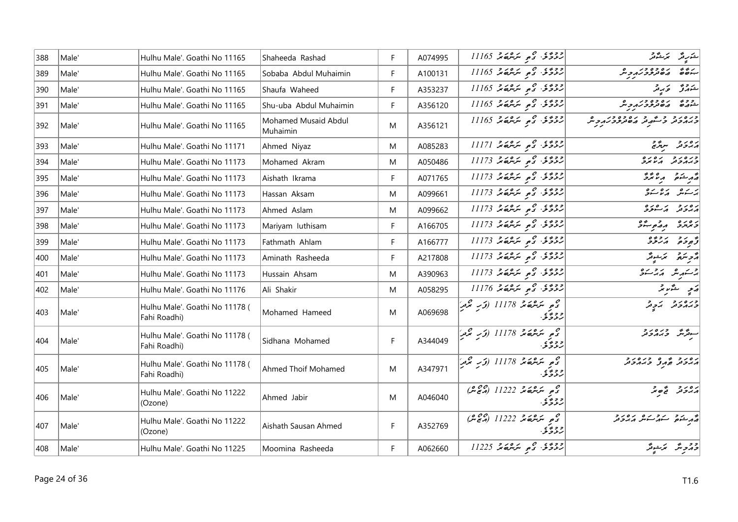| 388 | Male' | Hulhu Male'. Goathi No 11165                   | Shaheeda Rashad                  | F  | A074995 | $11165$ جَوْءٌ جَمْعِ مَرْسُوهُ جَنْبَهِ 11165                                      |                                                      | شَرِيرٌ - مَرْشَرْتُرُ           |
|-----|-------|------------------------------------------------|----------------------------------|----|---------|-------------------------------------------------------------------------------------|------------------------------------------------------|----------------------------------|
| 389 | Male' | Hulhu Male'. Goathi No 11165                   | Sobaba Abdul Muhaimin            | F  | A100131 | $11165$ جَوْءٌ جَمْعِ سَرْجَعَةٌ جَ                                                 |                                                      |                                  |
| 390 | Male' | Hulhu Male'. Goathi No 11165                   | Shaufa Waheed                    | F  | A353237 | $11165$ جَوْءٌ جَمْعِ سَرْجَعَةٌ جَ                                                 |                                                      | شەرىق كەبەتر                     |
| 391 | Male' | Hulhu Male'. Goathi No 11165                   | Shu-uba Abdul Muhaimin           | F  | A356120 |                                                                                     | دوم ره ده در مورد در محل بازد.<br>شوره ره ترور در مر |                                  |
| 392 | Male' | Hulhu Male'. Goathi No 11165                   | Mohamed Musaid Abdul<br>Muhaimin | M  | A356121 | $11165$ كَمُدَوَّدٌ وَمِ سَرْسَعَةٌ $11165$                                         |                                                      |                                  |
| 393 | Male' | Hulhu Male'. Goathi No 11171                   | Ahmed Niyaz                      | M  | A085283 | ر دوي مي تر مي 11171.                                                               |                                                      | נים ני פי מידע<br>הגב בני מידעים |
| 394 | Male' | Hulhu Male'. Goathi No 11173                   | Mohamed Akram                    | M  | A050486 | دووی ده پرهه پر 11173                                                               | כנסנכ נסנס<br>כגמכת העיב                             |                                  |
| 395 | Male' | Hulhu Male'. Goathi No 11173                   | Aishath Ikrama                   | F  | A071765 | 11173 م برودي 11173.                                                                | ورشكته وماعر                                         |                                  |
| 396 | Male' | Hulhu Male'. Goathi No 11173                   | Hassan Aksam                     | M  | A099661 | روۋۇ. ئۇم ئېرىھىم 11173.                                                            |                                                      | برسكش مراه سكافة                 |
| 397 | Male' | Hulhu Male'. Goathi No 11173                   | Ahmed Aslam                      | M  | A099662 | رووي محمد سكره المحدد 11173.                                                        | ره رو بر ۱۵۷۵<br>پربرو بر سوو                        |                                  |
| 398 | Male' | Hulhu Male'. Goathi No 11173                   | Mariyam luthisam                 | F  | A166705 | دووی ده پرهه پر 11173                                                               | במתכ תבתייכ                                          |                                  |
| 399 | Male' | Hulhu Male'. Goathi No 11173                   | Fathmath Ahlam                   | F. | A166777 | دووی ده پرهه پر 11173                                                               |                                                      | وٌ و د د وو و                    |
| 400 | Male' | Hulhu Male'. Goathi No 11173                   | Aminath Rasheeda                 | F  | A217808 | رووي مي سره چې 11173                                                                |                                                      | أأدو يتكفى التمرشوند             |
| 401 | Male' | Hulhu Male'. Goathi No 11173                   | Hussain Ahsam                    | M  | A390963 | روۋۇ. ئۇم ئېرىھىم 11173.                                                            | برسكر مركز المركز والمحاري                           |                                  |
| 402 | Male' | Hulhu Male'. Goathi No 11176                   | Ali Shakir                       | M  | A058295 | 11176 كوم مركز 11176                                                                |                                                      | أەسمج مقارىر                     |
| 403 | Male' | Hulhu Male'. Goathi No 11178 (<br>Fahi Roadhi) | Mohamed Hameed                   | M  | A069698 | دحمو <b>سَرْحَدَ 11178 (وَ</b> رِ مَحْمَدِ)<br>د و و ي.<br>رند و تو .               |                                                      | ورەرو پەرو                       |
| 404 | Male' | Hulhu Male'. Goathi No 11178 (<br>Fahi Roadhi) | Sidhana Mohamed                  | F  | A344049 | ج مو تكري <i>ما 11178 (ق</i> ري <i>ر محم</i> ر)<br>و و و ء .<br>رند <del>و</del> نو | سەنگەش ئەرەر ئە                                      |                                  |
| 405 | Male' | Hulhu Male'. Goathi No 11178 (<br>Fahi Roadhi) | Ahmed Thoif Mohamed              | M  | A347971 | ج مي سَرْسُ 11178 (وَسِ مَحْمَدِ)<br>و و و ئپي.<br>رندگرگر                          | גם גב ב ה כגם גב<br>גגבת האת בגגבת                   |                                  |
| 406 | Male' | Hulhu Male'. Goathi No 11222<br>(Ozone)        | Ahmed Jabir                      | M  | A046040 | مجمع سَرْسْهَةَ 11222 (مَتَحْسُرٌ)<br>333ع.<br>مرکو <del>گر</del>                   |                                                      | גפיל הביטיל                      |
| 407 | Male' | Hulhu Male'. Goathi No 11222<br>(Ozone)        | Aishath Sausan Ahmed             | F  | A352769 | تجم سَتَعْصَمْ 11222 (مُتَحَمَّرٌ)<br>و و و ء .<br>رند و تو .                       | ه در در دره ره دورد<br>پهرشوي سوړستو کرېرونو         |                                  |
| 408 | Male' | Hulhu Male'. Goathi No 11225                   | Moomina Rasheeda                 | F  | A062660 | رووي محمد 11225                                                                     |                                                      | ورو سر الارشوقر                  |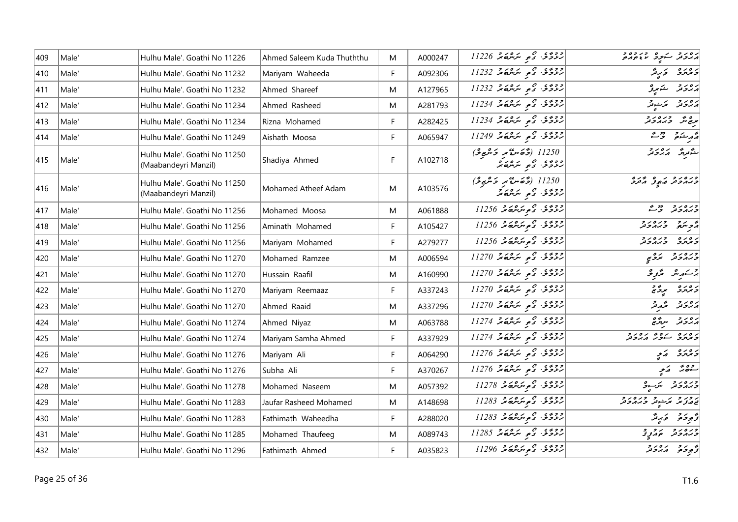| 409 | Male' | Hulhu Male'. Goathi No 11226                         | Ahmed Saleem Kuda Thuththu | M         | A000247 | 11226 <sub>كومج</sub> مرمض كا11226                          | رەر د مەر دە دە                                                         |
|-----|-------|------------------------------------------------------|----------------------------|-----------|---------|-------------------------------------------------------------|-------------------------------------------------------------------------|
| 410 | Male' | Hulhu Male'. Goathi No 11232                         | Mariyam Waheeda            | F         | A092306 | روۋۇ، ئۇم ئىر ھەنج 11232                                    | د ۱۵ د م پر تگر                                                         |
| 411 | Male' | Hulhu Male'. Goathi No 11232                         | Ahmed Shareef              | M         | A127965 | روۋۇ، ئۇم ئىر شەنجى 11232                                   | پره پر په شوموړی                                                        |
| 412 | Male' | Hulhu Male'. Goathi No 11234                         | Ahmed Rasheed              | M         | A281793 | دوۋې ده پروه د 11234                                        | رەرە بەيدۇ                                                              |
| 413 | Male' | Hulhu Male'. Goathi No 11234                         | Rizna Mohamed              | F         | A282425 | 332 كومبر مردم كالمحفظ 11234                                | برج ش وره رو                                                            |
| 414 | Male' | Hulhu Male', Goathi No 11249                         | Aishath Moosa              | F         | A065947 | رووي مي شرق 11249.                                          | وكرمشتمو وحسكم                                                          |
| 415 | Male' | Hulhu Male'. Goathi No 11250<br>(Maabandeyri Manzil) | Shadiya Ahmed              | F         | A102718 | 11250 (جُەَسَنَةَ مِر جَسْرَى حَرْ)<br>ر د د د ه م شرحه د د | شەرىر مەردىر                                                            |
| 416 | Male' | Hulhu Male'. Goathi No 11250<br>(Maabandeyri Manzil) | Mohamed Atheef Adam        | M         | A103576 | 11250 (جُەَسَةَ بر دَسْءِ دَ)<br>وود ده مه مره د و          | وره رو دره و ره و                                                       |
| 417 | Male' | Hulhu Male'. Goathi No 11256                         | Mohamed Moosa              | ${\sf M}$ | A061888 | 332 كوم مرمومة 11256                                        | وره دو دور                                                              |
| 418 | Male' | Hulhu Male'. Goathi No 11256                         | Aminath Mohamed            | F         | A105427 | 332 كوم مرمضة 11256                                         | و ره ر و<br><i>د ب</i> رگر تر<br>ړڻ سرچ                                 |
| 419 | Male' | Hulhu Male'. Goathi No 11256                         | Mariyam Mohamed            | F         | A279277 | 332°، ئۇم ئىر شەنجە 11256                                   | ر ه ر ه<br><del>ر</del> بربرد<br>و بر ه بر و<br>تر بر بر <del>ت</del> ر |
| 420 | Male' | Hulhu Male'. Goathi No 11270                         | Mohamed Ramzee             | M         | A006594 | 11270 ء مرحمد 11270                                         | ورەر دەر                                                                |
| 421 | Male' | Hulhu Male'. Goathi No 11270                         | Hussain Raafil             | M         | A160990 | 333 كومبر متر من 11270.                                     | يزخير شروعه                                                             |
| 422 | Male' | Hulhu Male'. Goathi No 11270                         | Mariyam Reemaaz            | F         | A337243 | رووي محمد مستعدد 11270                                      | ر ه ر ه<br><del>ر</del> بربرگ<br>برژی                                   |
| 423 | Male' | Hulhu Male'. Goathi No 11270                         | Ahmed Raaid                | M         | A337296 | 333 كومبر متر من 11270.                                     | پر ژبر و<br>یم پر تر<br>مر <i>د</i> تر                                  |
| 424 | Male' | Hulhu Male'. Goathi No 11274                         | Ahmed Niyaz                | M         | A063788 | رووي مي بروري 11274                                         | גם ג' בי שיתים<br>הגבת ייתו <i>ד</i> ים                                 |
| 425 | Male' | Hulhu Male'. Goathi No 11274                         | Mariyam Samha Ahmed        | F         | A337929 | 11274 م مردم ديد 11274                                      | נים נים הנים הפנים.<br>במחבר הבל הנבע                                   |
| 426 | Male' | Hulhu Male'. Goathi No 11276                         | Mariyam Ali                | F         | A064290 | 333 كومبر مركز 11276                                        | د عرمره _ م کمبر                                                        |
| 427 | Male' | Hulhu Male'. Goathi No 11276                         | Subha Ali                  | F         | A370267 | 333 كومبر مركز 11276                                        | ے جھ پڑ کر ہے                                                           |
| 428 | Male' | Hulhu Male'. Goathi No 11278                         | Mohamed Naseem             | M         | A057392 | 333 - مى مەركە 11278                                        | ورەرو شرىدۇ                                                             |
| 429 | Male' | Hulhu Male'. Goathi No 11283                         | Jaufar Rasheed Mohamed     | M         | A148698 | 11283 كومرمۇم 11283                                         | ر ور و گرشونر وبرمار و<br>  ج های گرگونر وبرماونر                       |
| 430 | Male' | Hulhu Male'. Goathi No 11283                         | Fathimath Waheedha         | F         | A288020 | 332 كوم مرمومة 11283.                                       | أوالمج وتحصي وتراثد                                                     |
| 431 | Male' | Hulhu Male'. Goathi No 11285                         | Mohamed Thaufeeg           | ${\sf M}$ | A089743 | 333 كمبر مركز 11285.                                        |                                                                         |
| 432 | Male' | Hulhu Male'. Goathi No 11296                         | Fathimath Ahmed            | F         | A035823 | 332°، ئۇم ئىر شەخە 11296                                    | و ده ده دور                                                             |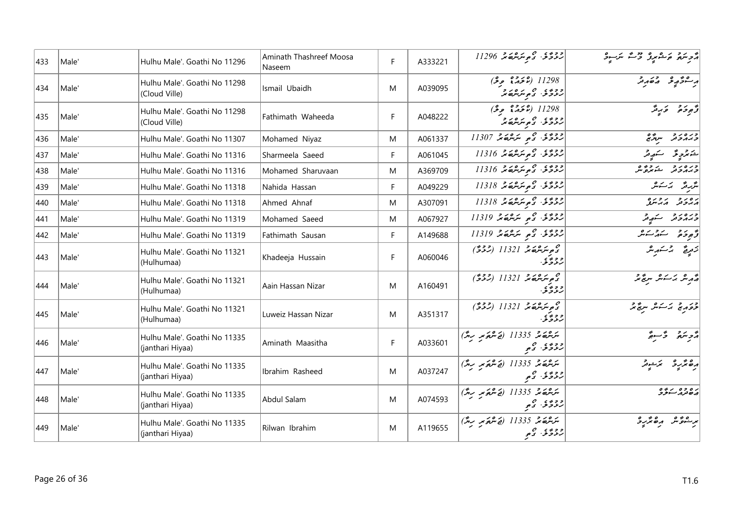| 433 | Male' | Hulhu Male'. Goathi No 11296                     | Aminath Thashreef Moosa<br>Naseem | F. | A333221 | 33 - موسَر سماعة 11296.                                                 | הקיינה הייתור כי יות                   |
|-----|-------|--------------------------------------------------|-----------------------------------|----|---------|-------------------------------------------------------------------------|----------------------------------------|
| 434 | Male' | Hulhu Male'. Goathi No 11298<br>(Cloud Ville)    | Ismail Ubaidh                     | M  | A039095 | $(3, 2, 2)$ 11298<br>و و دی. می بر و بر و ا                             | م شرقه و مقام قر                       |
| 435 | Male' | Hulhu Male'. Goathi No 11298<br>(Cloud Ville)    | Fathimath Waheeda                 | F. | A048222 | $(3, 2, 2, 2)$ 11298<br>ووړي ده بره ده.<br>مردونو کومرمره تر            | وتجوحكم الحامية                        |
| 436 | Male' | Hulhu Male'. Goathi No 11307                     | Mohamed Niyaz                     | M  | A061337 | 222 - جو مركزة كو 11307                                                 | و ر ه ر و<br>تر پر ژ تر<br>سرگرم       |
| 437 | Male' | Hulhu Male'. Goathi No 11316                     | Sharmeela Saeed                   | F. | A061045 | رووي مى مەشقەت 11316                                                    | لتذكرونك التكرمر                       |
| 438 | Male' | Hulhu Male'. Goathi No 11316                     | Mohamed Sharuvaan                 | M  | A369709 | <sup>22</sup> 3 ك <sub>ەم</sub> كرىھەتمە 11316                          | ورەرو ئەرەم<br><i>دىد</i> ەرىر ئىمىرەش |
| 439 | Male' | Hulhu Male'. Goathi No 11318                     | Nahida Hassan                     | F. | A049229 | 11318 مى مەشكە                                                          | مَّرْرِ مَرْ مَرْ مَرْ مِرْ            |
| 440 | Male' | Hulhu Male'. Goathi No 11318                     | Ahmed Ahnaf                       | M  | A307091 | 11318 كوم مرشقة 11318                                                   | رەرد رورە<br>גىرى גىس                  |
| 441 | Male' | Hulhu Male'. Goathi No 11319                     | Mohamed Saeed                     | M  | A067927 | رووي محمد مستقامة 11319                                                 | ورەرو شهرىر                            |
| 442 | Male' | Hulhu Male'. Goathi No 11319                     | Fathimath Sausan                  | F. | A149688 | <sup>222</sup> ر م سكر 11319.                                           | تۇپروتو سەرسىتىر                       |
| 443 | Male' | Hulhu Male'. Goathi No 11321<br>(Hulhumaa)       | Khadeeja Hussain                  | F. | A060046 | ج مەسىھ ئىس 11321 (شەشى)<br>و و و ي.<br>رندگرگر                         | تزىرىق كالكشمار مكر                    |
| 444 | Male' | Hulhu Male'. Goathi No 11321<br>(Hulhumaa)       | Aain Hassan Nizar                 | M  | A160491 | ج مەسىھ ئىس 11321 (شەشى)<br>و و و ء .<br>رند <del>و</del> نو            | وأمرس برسكس سركانو                     |
| 445 | Male' | Hulhu Male'. Goathi No 11321<br>(Hulhumaa)       | Luweiz Hassan Nizar               | M  | A351317 | ج مەسىھ ئىس 11321 (شەشى)<br>و و و ي.<br>رند و تو .                      | توكورج برسكس سرهج                      |
| 446 | Male' | Hulhu Male'. Goathi No 11335<br>(janthari Hiyaa) | Aminath Maasitha                  | F  | A033601 | رەر دېر 11335 (ئەھمە بەرگە)<br>و و دی. م<br>رنزگر د کی                  | أرديدة وملاحق                          |
| 447 | Male' | Hulhu Male'. Goathi No 11335<br>(janthari Hiyaa) | Ibrahim Rasheed                   | M  | A037247 | ترەپە چە 11335 (ئەمھۇمىيە سەمىگ)<br>و و وي. مي <sub>م</sub>             | رەنژرد ترىيە                           |
| 448 | Male' | Hulhu Male'. Goathi No 11335<br>(janthari Hiyaa) | Abdul Salam                       | M  | A074593 | برەيرو 11335 (ئەمھۇمىيە س <sup>ى</sup> رام)<br>و و وي. مي <sub>م</sub>  | رە دە بەرە<br>مەھىرە سىۋىر             |
| 449 | Male' | Hulhu Male'. Goathi No 11335<br>(janthari Hiyaa) | Rilwan Ibrahim                    | M  | A119655 | مَدَ شَهْدَ 11335 (جَ سَمْعَ مِنْ سِرْمَ)<br>و و ه ي .<br>رنز و د او او | برشوش مەترىرە                          |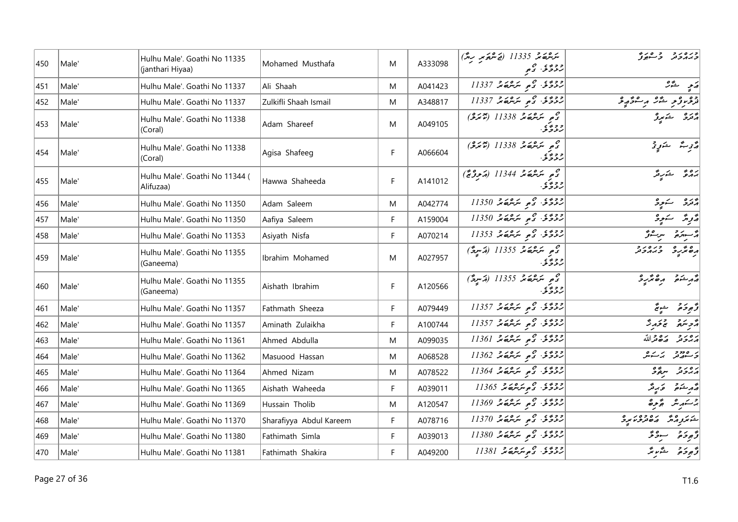| 450 | Male' | Hulhu Male'. Goathi No 11335<br>(janthari Hiyaa) | Mohamed Musthafa        | M | A333098 | ىئر شەھ ئىر 11335 ( <i>ق شۇم</i> ر ب <sub>ى</sub> ر<br>و و دی.<br>رنزگرنگی دی                                                                                                                                                             | وره رو و مره<br><i>و بد</i> رونر و سووژ               |
|-----|-------|--------------------------------------------------|-------------------------|---|---------|-------------------------------------------------------------------------------------------------------------------------------------------------------------------------------------------------------------------------------------------|-------------------------------------------------------|
| 451 | Male' | Hulhu Male'. Goathi No 11337                     | Ali Shaah               | M | A041423 | 337 م مركزة كابر 11337                                                                                                                                                                                                                    | $rac{1}{2}$                                           |
| 452 | Male' | Hulhu Male'. Goathi No 11337                     | Zulkifli Shaah Ismail   | M | A348817 | 11337 كوم مركز 11337                                                                                                                                                                                                                      | دورور خرم مستقرم المستقرمة                            |
| 453 | Male' | Hulhu Male'. Goathi No 11338<br>(Coral)          | Adam Shareef            | M | A049105 | مجمو متسقة 11338 ( <i>محمد المحمد المحمد الم</i> حمد المحمد المحمد الم<br>و و وي.<br>رنونوگو                                                                                                                                              | دره خنرو                                              |
| 454 | Male' | Hulhu Male'. Goathi No 11338<br>(Coral)          | Agisa Shafeeg           | F | A066604 | مى مەشھەر 11338 (مىيومى)<br>و و و ء .<br>رند <del>و</del> نو                                                                                                                                                                              | ړٌ تر بُنَ الله کوړ کي                                |
| 455 | Male' | Hulhu Male'. Goathi No 11344 (<br>Alifuzaa)      | Hawwa Shaheeda          | F | A141012 | دى مەركى 11344 (م <i>ەر</i> ۋى)<br>ر د و ء .<br>رند و تو .                                                                                                                                                                                | ر ە بە<br>برادى<br>شتورقر                             |
| 456 | Male' | Hulhu Male'. Goathi No 11350                     | Adam Saleem             | M | A042774 | ر دوي. محمد سر سهاد 11350                                                                                                                                                                                                                 | پە بەرە<br>مەنىرى<br>سەرد                             |
| 457 | Male' | Hulhu Male'. Goathi No 11350                     | Aafiya Saleem           | F | A159004 | 332 كومبر مرمضة 11350                                                                                                                                                                                                                     | ړې خود                                                |
| 458 | Male' | Hulhu Male'. Goathi No 11353                     | Asiyath Nisfa           | F | A070214 | رووي ۾ شهر 11353.                                                                                                                                                                                                                         | ة سورة مرسورة من                                      |
| 459 | Male' | Hulhu Male'. Goathi No 11355<br>(Ganeema)        | Ibrahim Mohamed         | M | A027957 | دىمو ئىرى <i>مۇھىتى 11355 (مۇمېرىتى)</i><br>د د و تو.<br>رندگرنگ                                                                                                                                                                          | و ر ه ر و<br><i>و پر</i> پر <del>و</del> ر<br>وە تۈرۈ |
| 460 | Male' | Hulhu Male'. Goathi No 11355<br>(Ganeema)        | Aishath Ibrahim         | F | A120566 | محمو مَتَبَعْثَةَ 11355 (مَسِيعٌ)<br><i>ر د څ</i> وگ                                                                                                                                                                                      | مەشقى مەمگرى                                          |
| 461 | Male' | Hulhu Male'. Goathi No 11357                     | Fathmath Sheeza         | F | A079449 | 337 كمبر مرشقة 11357.                                                                                                                                                                                                                     | وٌمورَمٌ<br>سنويج                                     |
| 462 | Male' | Hulhu Male', Goathi No 11357                     | Aminath Zulaikha        | F | A100744 | وووي مي برموند 11357.                                                                                                                                                                                                                     | ح تح <i>م ب</i> ر گ<br>ۇ ئەسىر                        |
| 463 | Male' | Hulhu Male'. Goathi No 11361                     | Ahmed Abdulla           | M | A099035 | روموس من مدين من 11361.                                                                                                                                                                                                                   | برة برو بروفرالله                                     |
| 464 | Male' | Hulhu Male'. Goathi No 11362                     | Masuood Hassan          | M | A068528 | رودو. د <sub>ە م</sub> ىر مەھكى 11362                                                                                                                                                                                                     | ۇسىھەد ئەسكىر                                         |
| 465 | Male' | Hulhu Male'. Goathi No 11364                     | Ahmed Nizam             | M | A078522 | $\left 11364\right\rangle$ جود محمد المعلم المعلم المعلم المعلم المعلم المعلم المعلم المعلم المعلم المعلم المعلم المعلم المعلم المعلم المعلم المعلم المعلم المعلم المعلم المعلم المعلم المعلم المعلم المعلم المعلم المعلم المعلم المعلم ا | ره ر د پره<br>پرېدونر سر <sub>گ</sub> ور              |
| 466 | Male' | Hulhu Male'. Goathi No 11365                     | Aishath Waheeda         | F | A039011 | 332 كوم مەشھەر 11365                                                                                                                                                                                                                      | وكرمشكم وكرفر                                         |
| 467 | Male' | Hulhu Male'. Goathi No 11369                     | Hussain Tholib          | M | A120547 | روۋۇ. ئۇم ئىر ھەنجە 11369                                                                                                                                                                                                                 | يز سكر مثر الجميزة                                    |
| 468 | Male' | Hulhu Male'. Goathi No 11370                     | Sharafiyya Abdul Kareem | F | A078716 |                                                                                                                                                                                                                                           | شر د د ده ده د ور د و                                 |
| 469 | Male' | Hulhu Male'. Goathi No 11380                     | Fathimath Simla         | F | A039013 | 3380 م مردمة 11380 ك                                                                                                                                                                                                                      | ۇجۇڭ سوڭ                                              |
| 470 | Male' | Hulhu Male'. Goathi No 11381                     | Fathimath Shakira       | F | A049200 | 332 - م برەيجە 11381                                                                                                                                                                                                                      | أزُّهِ وَدَمْ شَمْرٍ مُرَّ                            |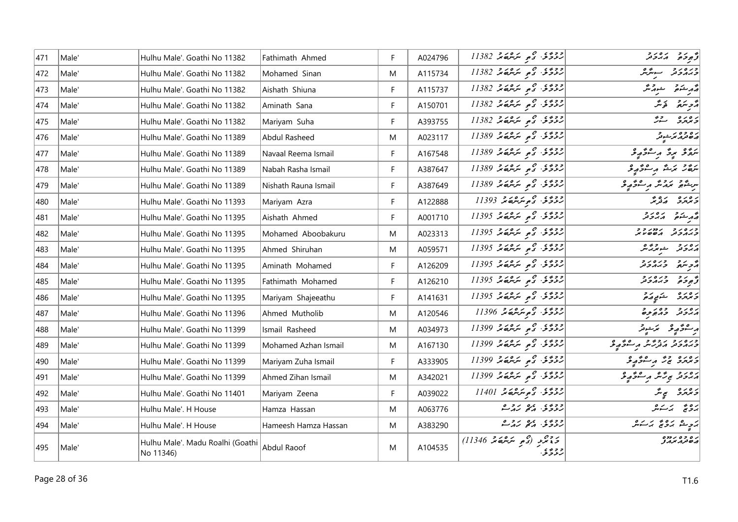| 471 | Male' | Hulhu Male'. Goathi No 11382                  | Fathimath Ahmed      | F         | A024796 | 332 كوم مركز 11382                                  | و ده د دره                                    |
|-----|-------|-----------------------------------------------|----------------------|-----------|---------|-----------------------------------------------------|-----------------------------------------------|
| 472 | Male' | Hulhu Male'. Goathi No 11382                  | Mohamed Sinan        | M         | A115734 | 332 كوم مرش 11382                                   | و ر ه ر و<br>تر بر بر تر<br>سەمگرىگر          |
| 473 | Male' | Hulhu Male'. Goathi No 11382                  | Aishath Shiuna       | F         | A115737 | روۋۇ. ئۇم ئىر ھەنجە 11382                           | ە ئەرىسە ئە<br>شور <sup>2</sup> مگر           |
| 474 | Male' | Hulhu Male'. Goathi No 11382                  | Aminath Sana         | F         | A150701 | 332 كم مرورة 2 11382.                               | أرتحبه تمريته                                 |
| 475 | Male' | Hulhu Male'. Goathi No 11382                  | Mariyam Suha         | F         | A393755 | 332 كم مركزة 2 11382                                | د ه ده در                                     |
| 476 | Male' | Hulhu Male'. Goathi No 11389                  | Abdul Rasheed        | M         | A023117 | 332 كومبر متر من 11389.                             | رە دەر<br>مەھەرمە ئىرشوتىر                    |
| 477 | Male' | Hulhu Male'. Goathi No 11389                  | Navaal Reema Ismail  | F         | A167548 | روموس من مدين من 11389.                             | ىنقۇ بېرق مەشتۇم ۋ                            |
| 478 | Male' | Hulhu Male'. Goathi No 11389                  | Nabah Rasha Ismail   | F         | A387647 | 333 كمبر متر مشتركة 11389.                          | برەز برىش برىدۇر ۋ                            |
| 479 | Male' | Hulhu Male'. Goathi No 11389                  | Nishath Rauna Ismail | F         | A387649 | 333 كم يرتدم بمرادة 11389.                          | سرعتم بروشر وعقوق                             |
| 480 | Male' | Hulhu Male'. Goathi No 11393                  | Mariyam Azra         | F         | A122888 | 332 كوم مرموحة 11393.                               | ره ره پروژ                                    |
| 481 | Male' | Hulhu Male'. Goathi No 11395                  | Aishath Ahmed        | F         | A001710 | 333 كمبر متر من 11395.                              | مەرشىمى مەردىر                                |
| 482 | Male' | Hulhu Male'. Goathi No 11395                  | Mohamed Aboobakuru   | ${\sf M}$ | A023313 | 333 كمبر متر من 11395.                              | 77/77/7<br>و ره ر و<br><i>د بر</i> گرمر       |
| 483 | Male' | Hulhu Male'. Goathi No 11395                  | Ahmed Shiruhan       | M         | A059571 | روۋۇ. ئۇم ئىر ھەنج 11395                            | رەرد ھەردە                                    |
| 484 | Male' | Hulhu Male'. Goathi No 11395                  | Aminath Mohamed      | F         | A126209 | 332ع، محمو متر مقصم 11395                           | و رە ر د<br>تر پر تر تر<br>ړې سرچ             |
| 485 | Male' | Hulhu Male'. Goathi No 11395                  | Fathimath Mohamed    | F         | A126210 | 333 - مي س <i>رموند 11395</i>                       | و رە ر د<br>تر پر تر تر<br>وٌ جو حَرْ حَرْ    |
| 486 | Male' | Hulhu Male'. Goathi No 11395                  | Mariyam Shajeeathu   | F         | A141631 | 333 كمبر مرشر 11395.                                | ر ه بر ه<br><del>د</del> بر بر ژ<br>شكوم كرقر |
| 487 | Male' | Hulhu Male'. Goathi No 11396                  | Ahmed Mutholib       | M         | A120546 | روۋى ئ <sub>وم</sub> ترىت <sub>قە</sub> تمە 11396   | נסנד בסנד                                     |
| 488 | Male' | Hulhu Male'. Goathi No 11399                  | Ismail Rasheed       | M         | A034973 | ر دور و محمد محمد 11399                             | ر جۇرگى ئىچىد                                 |
| 489 | Male' | Hulhu Male'. Goathi No 11399                  | Mohamed Azhan Ismail | M         | A167130 | 332 كومبر متر من 11399.                             | ورەر د پرور د مردور د                         |
| 490 | Male' | Hulhu Male'. Goathi No 11399                  | Mariyam Zuha Ismail  | F         | A333905 | 332 كومبر متر ملك 11399.                            | ومهرد بن ريدورو                               |
| 491 | Male' | Hulhu Male'. Goathi No 11399                  | Ahmed Zihan Ismail   | M         | A342021 | رووي. <sub>وم سكره مدين 11399.</sub>                | أرور و بر عمر مرتفقه و                        |
| 492 | Male' | Hulhu Male'. Goathi No 11401                  | Mariyam Zeena        | F         | A039022 | 11401 كوم مكر من 11401                              | د بر پر شر                                    |
| 493 | Male' | Hulhu Male'. H House                          | Hamza Hassan         | M         | A063776 | وودی پره روم                                        | پرونځ   پرسترمنز                              |
| 494 | Male' | Hulhu Male'. H House                          | Hameesh Hamza Hassan | M         | A383290 | وودی بره روه                                        | يَادِعْ الْمَادِعْ الْمَاسَرْ                 |
| 495 | Male' | Hulhu Male'. Madu Roalhi (Goathi<br>No 11346) | Abdul Raoof          | M         | A104535 | 3، ترو (تۇم ئىر شەڭ 11346)<br>و و و ء .<br>رنو بو د | ر ه د ه ر دده<br>پره تربر تربر تو             |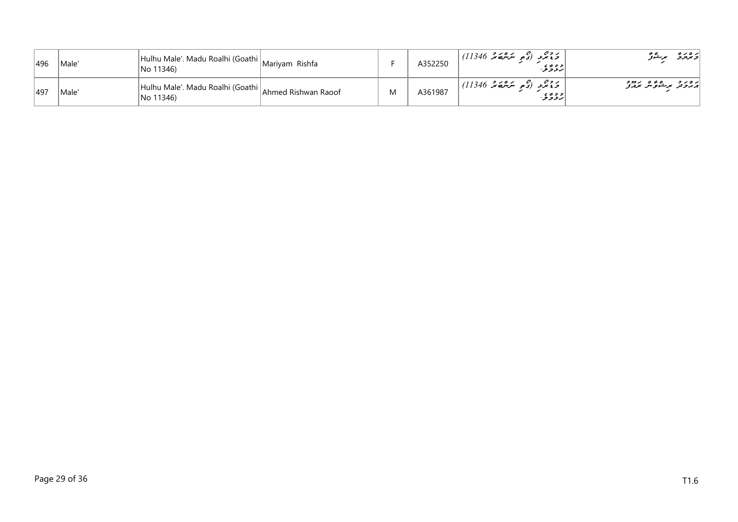| 496 | Male' | Hulhu Male'. Madu Roalhi (Goathi Mariyam Rishfa<br>INo 11346)      |   | A352250 | رَبِيْمِ (ئَوْمِ سَيْتَعَةَ 11346)  <br>اژ د وي. | ئە ئەرە                                            |
|-----|-------|--------------------------------------------------------------------|---|---------|--------------------------------------------------|----------------------------------------------------|
| 497 | Male' | Hulhu Male'. Madu Roalhi (Goathi Ahmed Rishwan Raoof<br>INo 11346) | M | A361987 | حەتمى (ئەمە ئىر شۇڭ 11346)<br>اژدوي.             | ره ر د مرت و بره و دود<br>  پربروتر - برت و شهر تر |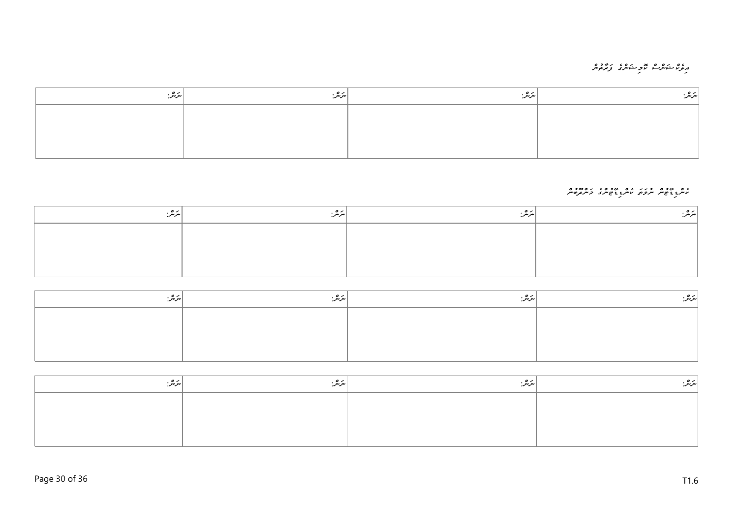## *w7qAn8m?sCw7mRo>u;wEw7mRw;sBo<*

| ' مرمر | 'يئرىثر: |
|--------|----------|
|        |          |
|        |          |
|        |          |

## *w7q9r@w7m>sCw7qHtFoFw7s;mAm=q7w7qHtFoFw7s;*

| يئرمىش: | $^{\circ}$<br>. سر سر<br>$\cdot$ | $\circ$ $\sim$<br>-- | يئرمثر |
|---------|----------------------------------|----------------------|--------|
|         |                                  |                      |        |
|         |                                  |                      |        |
|         |                                  |                      |        |

| يره | $^{\circ}$ | $\frac{2}{n}$ | $^{\circ}$<br>سرسر. |
|-----|------------|---------------|---------------------|
|     |            |               |                     |
|     |            |               |                     |
|     |            |               |                     |

| ىرتىر: | 。<br>سر سر | .,<br>مرسر |
|--------|------------|------------|
|        |            |            |
|        |            |            |
|        |            |            |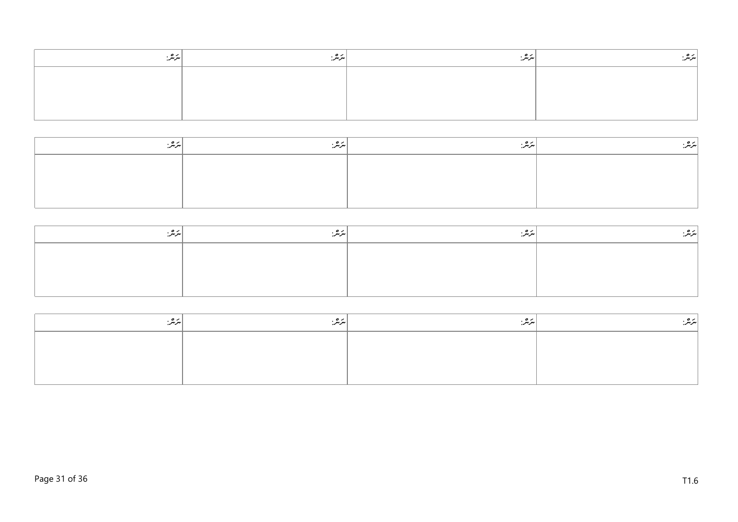| يره. | ο. | ا ير ه |  |
|------|----|--------|--|
|      |    |        |  |
|      |    |        |  |
|      |    |        |  |

| <sup>.</sup> سرسر. |  |
|--------------------|--|
|                    |  |
|                    |  |
|                    |  |

| ىئرىتر. | $\sim$ | ا بر هه. | لىرىش |
|---------|--------|----------|-------|
|         |        |          |       |
|         |        |          |       |
|         |        |          |       |

| 。<br>مرس. | $\overline{\phantom{a}}$<br>مر مىر | يتريثر |
|-----------|------------------------------------|--------|
|           |                                    |        |
|           |                                    |        |
|           |                                    |        |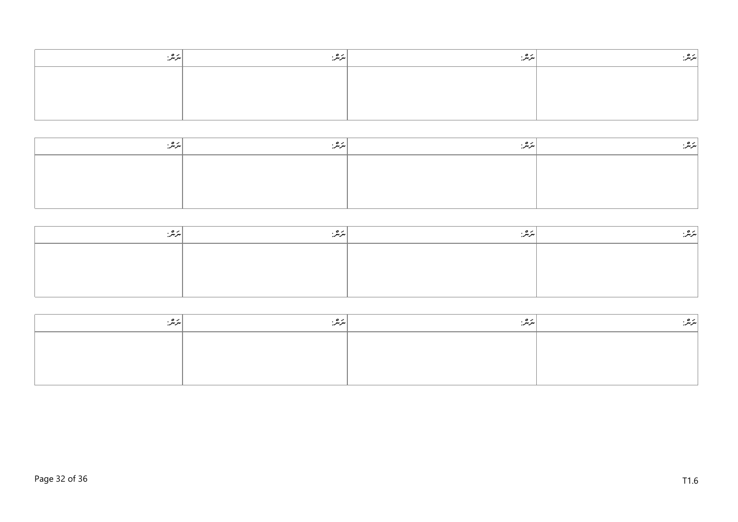| ير هو . | $\overline{\phantom{a}}$ | يرمر | اير هنه. |
|---------|--------------------------|------|----------|
|         |                          |      |          |
|         |                          |      |          |
|         |                          |      |          |

| ىر تىر: | $\circ$ $\sim$<br>" سرسر . | يبرحه | o . |
|---------|----------------------------|-------|-----|
|         |                            |       |     |
|         |                            |       |     |
|         |                            |       |     |

| الترنثر: | ' مرتكز: | الترنثر: | .,<br>سرسر. |
|----------|----------|----------|-------------|
|          |          |          |             |
|          |          |          |             |
|          |          |          |             |

|  | . ه |
|--|-----|
|  |     |
|  |     |
|  |     |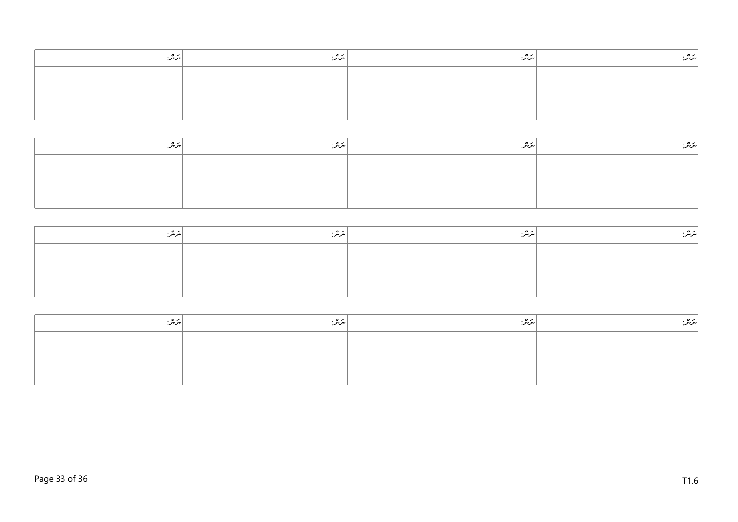| ير هو . | $\overline{\phantom{a}}$ | يرمر | اير هنه. |
|---------|--------------------------|------|----------|
|         |                          |      |          |
|         |                          |      |          |
|         |                          |      |          |

| ىر تىر: | $\circ$ $\sim$<br>" سرسر . | يبرحه | o . |
|---------|----------------------------|-------|-----|
|         |                            |       |     |
|         |                            |       |     |
|         |                            |       |     |

| الترنثر: | ' مرتكز: | الترنثر: | .,<br>سرسر. |
|----------|----------|----------|-------------|
|          |          |          |             |
|          |          |          |             |
|          |          |          |             |

|  | . ه |
|--|-----|
|  |     |
|  |     |
|  |     |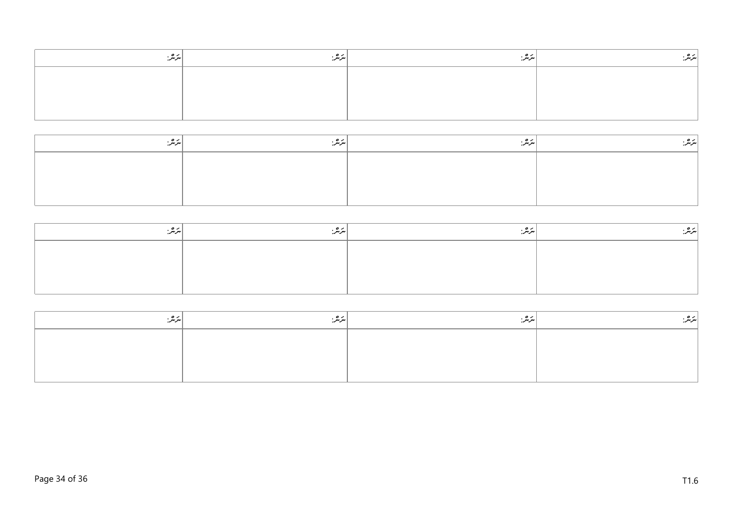| $\cdot$ | ο. | $\frac{\circ}{\cdot}$ | $\sim$<br>سرسر |
|---------|----|-----------------------|----------------|
|         |    |                       |                |
|         |    |                       |                |
|         |    |                       |                |

| يريثن | ' سرسر . |  |
|-------|----------|--|
|       |          |  |
|       |          |  |
|       |          |  |

| بر ه | 。 | $\sim$<br>َ سومس. |  |
|------|---|-------------------|--|
|      |   |                   |  |
|      |   |                   |  |
|      |   |                   |  |

| 。<br>. س | ىرىىر |  |
|----------|-------|--|
|          |       |  |
|          |       |  |
|          |       |  |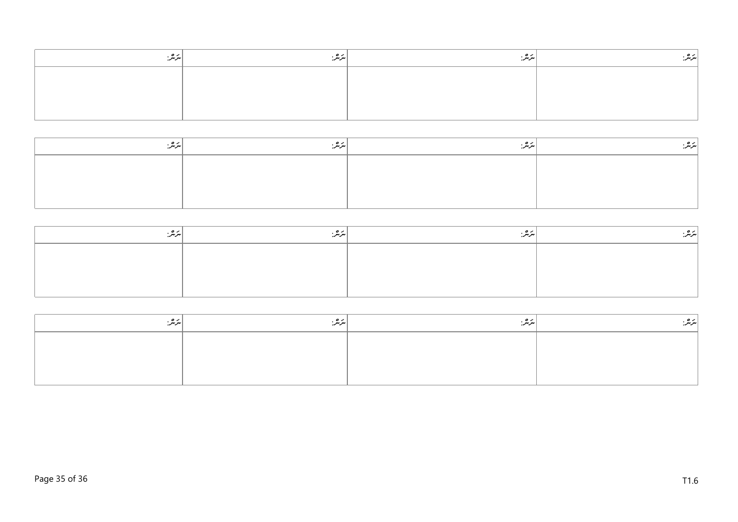| ير هو . | $\overline{\phantom{a}}$ | يرمر | لتزمثن |
|---------|--------------------------|------|--------|
|         |                          |      |        |
|         |                          |      |        |
|         |                          |      |        |

| ىر تىر: | $\circ$ $\sim$<br>" سرسر . | يبرحه | o . |
|---------|----------------------------|-------|-----|
|         |                            |       |     |
|         |                            |       |     |
|         |                            |       |     |

| انترنثر: | ر ه |  |
|----------|-----|--|
|          |     |  |
|          |     |  |
|          |     |  |

|  | . ه |
|--|-----|
|  |     |
|  |     |
|  |     |